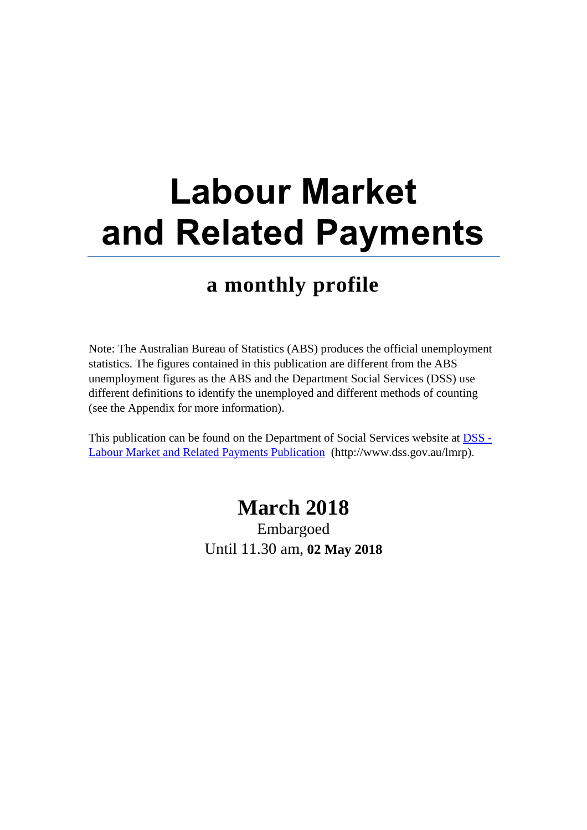# **Labour Market and Related Payments**

# **a monthly profile**

Note: The Australian Bureau of Statistics (ABS) produces the official unemployment statistics. The figures contained in this publication are different from the ABS unemployment figures as the ABS and the Department Social Services (DSS) use different definitions to identify the unemployed and different methods of counting (see the Appendix for more information).

This publication can be found on the Department of Social Services website at **DSS** -[Labour Market and Related Payments Publication](http://www.dss.gov.au/lmrp) (http://www.dss.gov.au/lmrp).

# **March 2018**

Embargoed Until 11.30 am, **02 May 2018**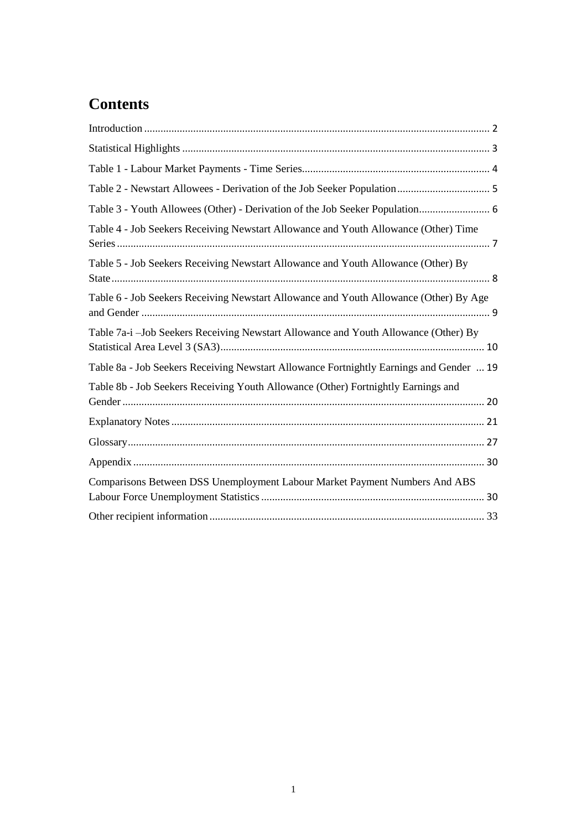# **Contents**

| Table 3 - Youth Allowees (Other) - Derivation of the Job Seeker Population 6            |
|-----------------------------------------------------------------------------------------|
| Table 4 - Job Seekers Receiving Newstart Allowance and Youth Allowance (Other) Time     |
| Table 5 - Job Seekers Receiving Newstart Allowance and Youth Allowance (Other) By       |
| Table 6 - Job Seekers Receiving Newstart Allowance and Youth Allowance (Other) By Age   |
| Table 7a-i -Job Seekers Receiving Newstart Allowance and Youth Allowance (Other) By     |
| Table 8a - Job Seekers Receiving Newstart Allowance Fortnightly Earnings and Gender  19 |
| Table 8b - Job Seekers Receiving Youth Allowance (Other) Fortnightly Earnings and       |
|                                                                                         |
|                                                                                         |
|                                                                                         |
| Comparisons Between DSS Unemployment Labour Market Payment Numbers And ABS              |
|                                                                                         |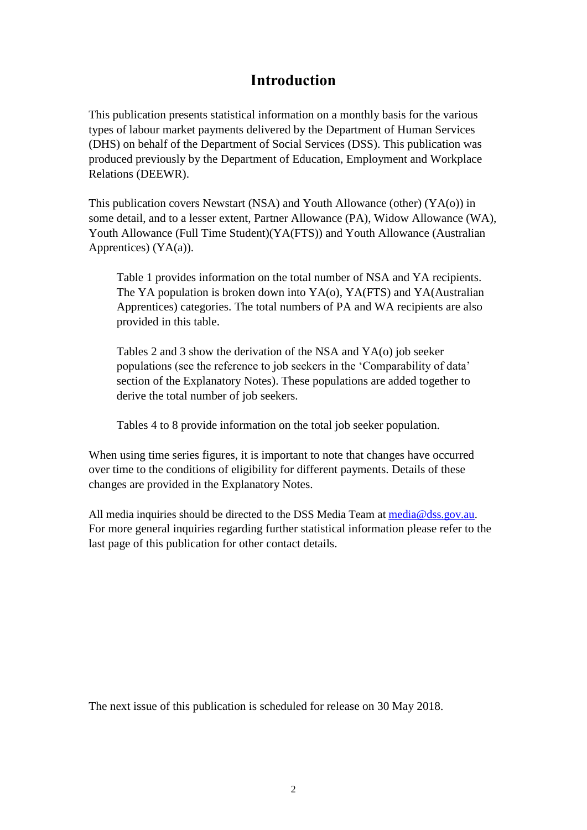# **Introduction**

<span id="page-2-0"></span>This publication presents statistical information on a monthly basis for the various types of labour market payments delivered by the Department of Human Services (DHS) on behalf of the Department of Social Services (DSS). This publication was produced previously by the Department of Education, Employment and Workplace Relations (DEEWR).

This publication covers Newstart (NSA) and Youth Allowance (other) (YA(o)) in some detail, and to a lesser extent, Partner Allowance (PA), Widow Allowance (WA), Youth Allowance (Full Time Student)(YA(FTS)) and Youth Allowance (Australian Apprentices) (YA(a)).

Table 1 provides information on the total number of NSA and YA recipients. The YA population is broken down into YA(o), YA(FTS) and YA(Australian Apprentices) categories. The total numbers of PA and WA recipients are also provided in this table.

Tables 2 and 3 show the derivation of the NSA and YA(o) job seeker populations (see the reference to job seekers in the 'Comparability of data' section of the Explanatory Notes). These populations are added together to derive the total number of job seekers.

Tables 4 to 8 provide information on the total job seeker population.

When using time series figures, it is important to note that changes have occurred over time to the conditions of eligibility for different payments. Details of these changes are provided in the Explanatory Notes.

All media inquiries should be directed to the DSS Media Team at [media@dss.gov.au.](mailto:media@dss.gov.au) For more general inquiries regarding further statistical information please refer to the last page of this publication for other contact details.

The next issue of this publication is scheduled for release on 30 May 2018.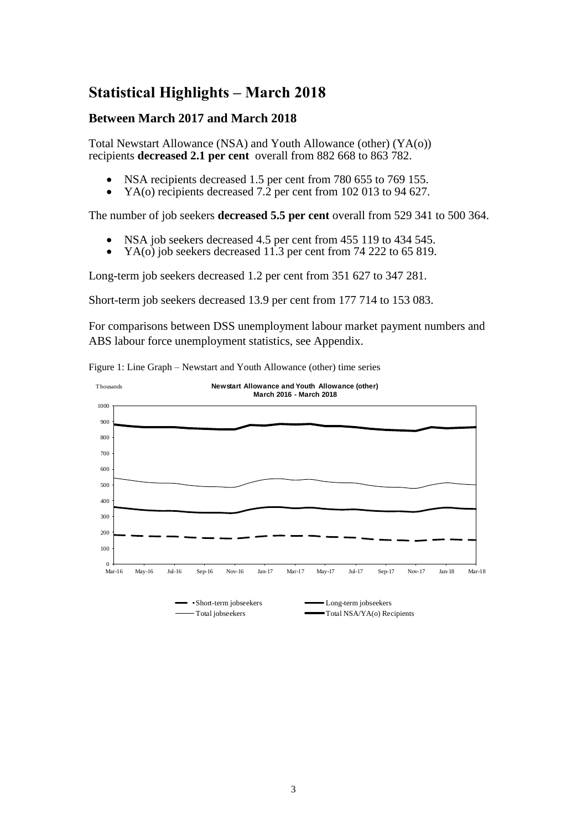# <span id="page-3-0"></span>**Statistical Highlights – March 2018**

#### **Between March 2017 and March 2018**

Total Newstart Allowance (NSA) and Youth Allowance (other) (YA(o)) recipients **decreased 2.1 per cent** overall from 882 668 to 863 782.

- NSA recipients decreased 1.5 per cent from 780 655 to 769 155.
- YA(o) recipients decreased 7.2 per cent from 102 013 to 94 627.

The number of job seekers **decreased 5.5 per cent** overall from 529 341 to 500 364.

- NSA job seekers decreased 4.5 per cent from 455 119 to 434 545.
- YA(o) job seekers decreased 11.3 per cent from 74 222 to 65 819.

Long-term job seekers decreased 1.2 per cent from 351 627 to 347 281.

Short-term job seekers decreased 13.9 per cent from 177 714 to 153 083.

For comparisons between DSS unemployment labour market payment numbers and ABS labour force unemployment statistics, see Appendix.



Figure 1: Line Graph – Newstart and Youth Allowance (other) time series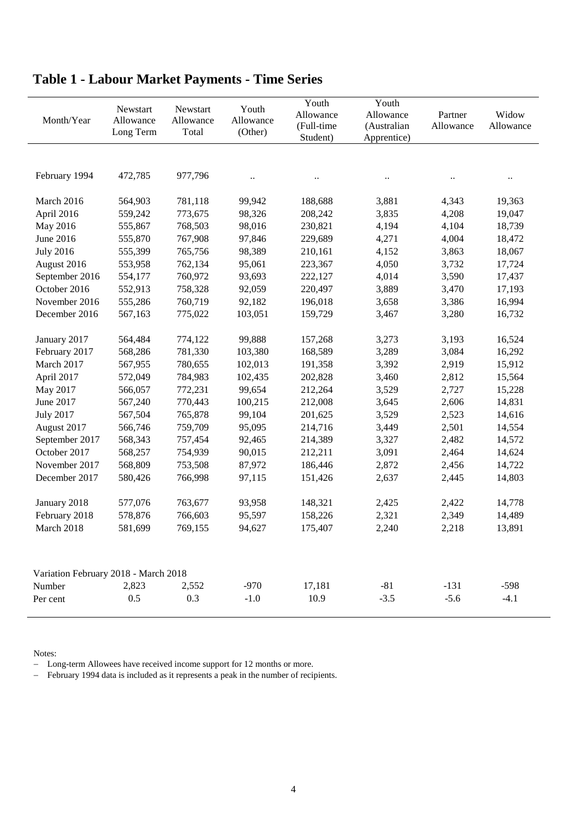| Month/Year                           | Newstart<br>Allowance<br>Long Term | Newstart<br>Allowance<br>Total | Youth<br>Allowance<br>(Other) | Youth<br>Allowance<br>(Full-time<br>Student) | Youth<br>Allowance<br>(Australian<br>Apprentice) | Partner<br>Allowance | Widow<br>Allowance   |
|--------------------------------------|------------------------------------|--------------------------------|-------------------------------|----------------------------------------------|--------------------------------------------------|----------------------|----------------------|
|                                      |                                    |                                |                               |                                              |                                                  |                      |                      |
| February 1994                        | 472,785                            | 977,796                        | $\ddot{\phantom{0}}$          |                                              | $\ddot{\phantom{a}}$                             |                      | $\ddot{\phantom{0}}$ |
| March 2016                           | 564,903                            | 781,118                        | 99,942                        | 188,688                                      | 3,881                                            | 4,343                | 19,363               |
| April 2016                           | 559,242                            | 773,675                        | 98,326                        | 208,242                                      | 3,835                                            | 4,208                | 19,047               |
| May 2016                             | 555,867                            | 768,503                        | 98,016                        | 230,821                                      | 4,194                                            | 4,104                | 18,739               |
| June 2016                            | 555,870                            | 767,908                        | 97,846                        | 229,689                                      | 4,271                                            | 4,004                | 18,472               |
| <b>July 2016</b>                     | 555,399                            | 765,756                        | 98,389                        | 210,161                                      | 4,152                                            | 3,863                | 18,067               |
| August 2016                          | 553,958                            | 762,134                        | 95,061                        | 223,367                                      | 4,050                                            | 3,732                | 17,724               |
| September 2016                       | 554,177                            | 760,972                        | 93,693                        | 222,127                                      | 4,014                                            | 3,590                | 17,437               |
| October 2016                         | 552,913                            | 758,328                        | 92,059                        | 220,497                                      | 3,889                                            | 3,470                | 17,193               |
| November 2016                        | 555,286                            | 760,719                        | 92,182                        | 196,018                                      | 3,658                                            | 3,386                | 16,994               |
| December 2016                        | 567,163                            | 775,022                        | 103,051                       | 159,729                                      | 3,467                                            | 3,280                | 16,732               |
|                                      |                                    |                                |                               |                                              |                                                  |                      |                      |
| January 2017                         | 564,484                            | 774,122                        | 99,888                        | 157,268                                      | 3,273                                            | 3,193                | 16,524               |
| February 2017                        | 568,286                            | 781,330                        | 103,380                       | 168,589                                      | 3,289                                            | 3,084                | 16,292               |
| March 2017                           | 567,955                            | 780,655                        | 102,013                       | 191,358                                      | 3,392                                            | 2,919                | 15,912               |
| April 2017                           | 572,049                            | 784,983                        | 102,435                       | 202,828                                      | 3,460                                            | 2,812                | 15,564               |
| May 2017                             | 566,057                            | 772,231                        | 99,654                        | 212,264                                      | 3,529                                            | 2,727                | 15,228               |
| June 2017                            | 567,240                            | 770,443                        | 100,215                       | 212,008                                      | 3,645                                            | 2,606                | 14,831               |
| <b>July 2017</b>                     | 567,504                            | 765,878                        | 99,104                        | 201,625                                      | 3,529                                            | 2,523                | 14,616               |
| August 2017                          | 566,746                            | 759,709                        | 95,095                        | 214,716                                      | 3,449                                            | 2,501                | 14,554               |
| September 2017                       | 568,343                            | 757,454                        | 92,465                        | 214,389                                      | 3,327                                            | 2,482                | 14,572               |
| October 2017                         | 568,257                            | 754,939                        | 90,015                        | 212,211                                      | 3,091                                            | 2,464                | 14,624               |
| November 2017                        | 568,809                            | 753,508                        | 87,972                        | 186,446                                      | 2,872                                            | 2,456                | 14,722               |
| December 2017                        | 580,426                            | 766,998                        | 97,115                        | 151,426                                      | 2,637                                            | 2,445                | 14,803               |
|                                      |                                    |                                |                               |                                              |                                                  |                      |                      |
| January 2018                         | 577,076                            | 763,677                        | 93,958                        | 148,321                                      | 2,425                                            | 2,422                | 14,778               |
| February 2018                        | 578,876                            | 766,603                        | 95,597                        | 158,226                                      | 2,321                                            | 2,349                | 14,489               |
| March 2018                           | 581,699                            | 769,155                        | 94,627                        | 175,407                                      | 2,240                                            | 2,218                | 13,891               |
|                                      |                                    |                                |                               |                                              |                                                  |                      |                      |
| Variation February 2018 - March 2018 |                                    |                                |                               |                                              |                                                  |                      |                      |
| Number                               | 2,823                              | 2,552                          | $-970$                        | 17,181                                       | $-81$                                            | $-131$               | $-598$               |
| Per cent                             | 0.5                                | 0.3                            | $-1.0$                        | 10.9                                         | $-3.5$                                           | $-5.6$               | $-4.1$               |
|                                      |                                    |                                |                               |                                              |                                                  |                      |                      |

# <span id="page-4-0"></span>**Table 1 - Labour Market Payments - Time Series**

Notes:

- Long-term Allowees have received income support for 12 months or more.

- February 1994 data is included as it represents a peak in the number of recipients.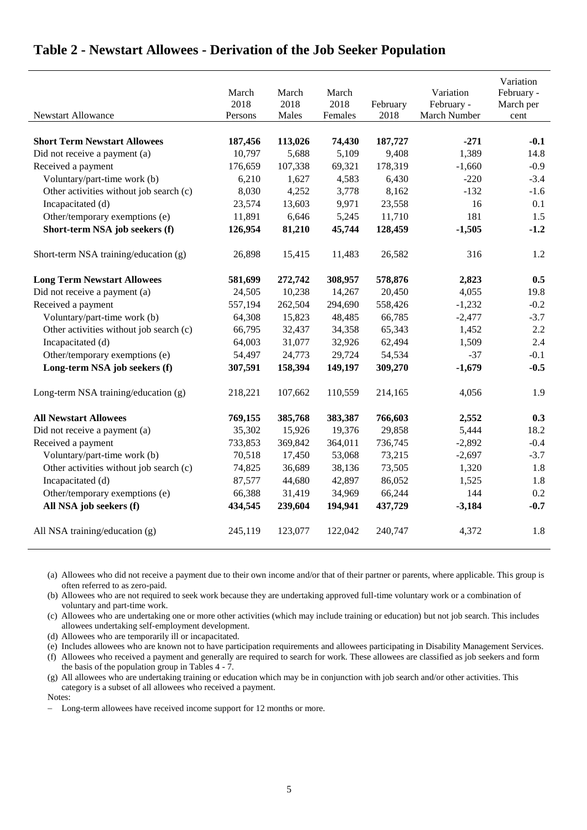|                                         | March<br>2018 | March<br>2018 | March<br>2018 | February | Variation<br>February - | Variation<br>February -<br>March per |
|-----------------------------------------|---------------|---------------|---------------|----------|-------------------------|--------------------------------------|
| Newstart Allowance                      | Persons       | Males         | Females       | 2018     | March Number            | cent                                 |
| <b>Short Term Newstart Allowees</b>     | 187,456       | 113,026       | 74,430        | 187,727  | $-271$                  | $-0.1$                               |
| Did not receive a payment (a)           | 10,797        | 5,688         | 5,109         | 9,408    | 1,389                   | 14.8                                 |
| Received a payment                      | 176,659       | 107,338       | 69,321        | 178,319  | $-1,660$                | $-0.9$                               |
| Voluntary/part-time work (b)            | 6,210         | 1,627         | 4,583         | 6,430    | $-220$                  | $-3.4$                               |
| Other activities without job search (c) | 8,030         | 4,252         | 3,778         | 8,162    | $-132$                  | $-1.6$                               |
| Incapacitated (d)                       | 23,574        | 13,603        | 9,971         | 23,558   | 16                      | 0.1                                  |
| Other/temporary exemptions (e)          | 11,891        | 6,646         | 5,245         | 11,710   | 181                     | 1.5                                  |
| Short-term NSA job seekers (f)          | 126,954       | 81,210        | 45,744        | 128,459  | $-1,505$                | $-1.2$                               |
| Short-term NSA training/education (g)   | 26,898        | 15,415        | 11,483        | 26,582   | 316                     | 1.2                                  |
| <b>Long Term Newstart Allowees</b>      | 581,699       | 272,742       | 308,957       | 578,876  | 2,823                   | 0.5                                  |
| Did not receive a payment (a)           | 24,505        | 10,238        | 14,267        | 20,450   | 4,055                   | 19.8                                 |
| Received a payment                      | 557,194       | 262,504       | 294,690       | 558,426  | $-1,232$                | $-0.2$                               |
| Voluntary/part-time work (b)            | 64,308        | 15,823        | 48,485        | 66,785   | $-2,477$                | $-3.7$                               |
| Other activities without job search (c) | 66,795        | 32,437        | 34,358        | 65,343   | 1,452                   | 2.2                                  |
| Incapacitated (d)                       | 64,003        | 31,077        | 32,926        | 62,494   | 1,509                   | 2.4                                  |
| Other/temporary exemptions (e)          | 54,497        | 24,773        | 29,724        | 54,534   | $-37$                   | $-0.1$                               |
| Long-term NSA job seekers (f)           | 307,591       | 158,394       | 149,197       | 309,270  | $-1,679$                | $-0.5$                               |
| Long-term NSA training/education (g)    | 218,221       | 107,662       | 110,559       | 214,165  | 4,056                   | 1.9                                  |
| <b>All Newstart Allowees</b>            | 769,155       | 385,768       | 383,387       | 766,603  | 2,552                   | 0.3                                  |
| Did not receive a payment (a)           | 35,302        | 15,926        | 19,376        | 29,858   | 5,444                   | 18.2                                 |
| Received a payment                      | 733,853       | 369,842       | 364,011       | 736,745  | $-2,892$                | $-0.4$                               |
| Voluntary/part-time work (b)            | 70,518        | 17,450        | 53,068        | 73,215   | $-2,697$                | $-3.7$                               |
| Other activities without job search (c) | 74,825        | 36,689        | 38,136        | 73,505   | 1,320                   | 1.8                                  |
| Incapacitated (d)                       | 87,577        | 44,680        | 42,897        | 86,052   | 1,525                   | 1.8                                  |
| Other/temporary exemptions (e)          | 66,388        | 31,419        | 34,969        | 66,244   | 144                     | 0.2                                  |
| All NSA job seekers (f)                 | 434,545       | 239,604       | 194,941       | 437,729  | $-3,184$                | $-0.7$                               |
| All NSA training/education (g)          | 245,119       | 123,077       | 122,042       | 240,747  | 4,372                   | 1.8                                  |

### <span id="page-5-0"></span>**Table 2 - Newstart Allowees - Derivation of the Job Seeker Population**

(a) Allowees who did not receive a payment due to their own income and/or that of their partner or parents, where applicable. This group is often referred to as zero-paid.

(b) Allowees who are not required to seek work because they are undertaking approved full-time voluntary work or a combination of voluntary and part-time work.

(c) Allowees who are undertaking one or more other activities (which may include training or education) but not job search. This includes allowees undertaking self-employment development.

(d) Allowees who are temporarily ill or incapacitated.

(e) Includes allowees who are known not to have participation requirements and allowees participating in Disability Management Services.

(f) Allowees who received a payment and generally are required to search for work. These allowees are classified as job seekers and form the basis of the population group in Tables 4 - 7.

(g) All allowees who are undertaking training or education which may be in conjunction with job search and/or other activities. This category is a subset of all allowees who received a payment.

Notes:

Long-term allowees have received income support for 12 months or more.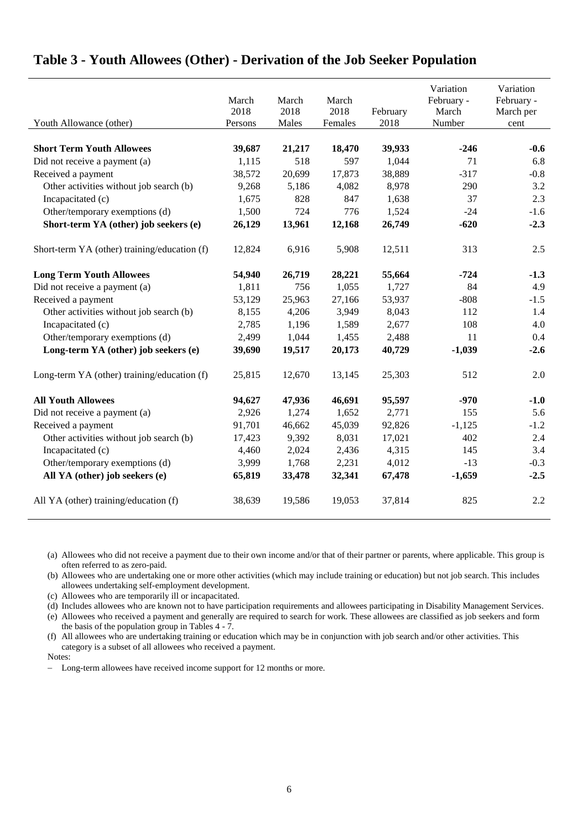|                                              | March<br>2018 | March<br>2018 | March<br>2018 | February | Variation<br>February -<br>March | Variation<br>February -<br>March per |
|----------------------------------------------|---------------|---------------|---------------|----------|----------------------------------|--------------------------------------|
| Youth Allowance (other)                      | Persons       | Males         | Females       | 2018     | Number                           | cent                                 |
| <b>Short Term Youth Allowees</b>             | 39,687        | 21,217        | 18,470        | 39,933   | $-246$                           | $-0.6$                               |
| Did not receive a payment (a)                | 1,115         | 518           | 597           | 1,044    | 71                               | 6.8                                  |
| Received a payment                           | 38,572        | 20,699        | 17,873        | 38,889   | $-317$                           | $-0.8$                               |
| Other activities without job search (b)      | 9,268         | 5,186         | 4,082         | 8,978    | 290                              | 3.2                                  |
| Incapacitated (c)                            | 1,675         | 828           | 847           | 1,638    | 37                               | 2.3                                  |
| Other/temporary exemptions (d)               | 1,500         | 724           | 776           | 1,524    | $-24$                            | $-1.6$                               |
| Short-term YA (other) job seekers (e)        | 26,129        | 13,961        | 12,168        | 26,749   | $-620$                           | $-2.3$                               |
| Short-term YA (other) training/education (f) | 12,824        | 6,916         | 5,908         | 12,511   | 313                              | 2.5                                  |
| <b>Long Term Youth Allowees</b>              | 54,940        | 26,719        | 28,221        | 55,664   | $-724$                           | $-1.3$                               |
| Did not receive a payment (a)                | 1,811         | 756           | 1,055         | 1,727    | 84                               | 4.9                                  |
| Received a payment                           | 53,129        | 25,963        | 27,166        | 53,937   | $-808$                           | $-1.5$                               |
| Other activities without job search (b)      | 8,155         | 4,206         | 3,949         | 8,043    | 112                              | 1.4                                  |
| Incapacitated (c)                            | 2,785         | 1,196         | 1,589         | 2,677    | 108                              | 4.0                                  |
| Other/temporary exemptions (d)               | 2,499         | 1,044         | 1,455         | 2,488    | 11                               | $0.4\,$                              |
| Long-term YA (other) job seekers (e)         | 39,690        | 19,517        | 20,173        | 40,729   | $-1,039$                         | $-2.6$                               |
| Long-term YA (other) training/education (f)  | 25,815        | 12,670        | 13,145        | 25,303   | 512                              | 2.0                                  |
| <b>All Youth Allowees</b>                    | 94,627        | 47,936        | 46,691        | 95,597   | $-970$                           | $-1.0$                               |
| Did not receive a payment (a)                | 2,926         | 1,274         | 1,652         | 2,771    | 155                              | 5.6                                  |
| Received a payment                           | 91,701        | 46,662        | 45,039        | 92,826   | $-1,125$                         | $-1.2$                               |
| Other activities without job search (b)      | 17,423        | 9,392         | 8,031         | 17,021   | 402                              | 2.4                                  |
| Incapacitated (c)                            | 4,460         | 2,024         | 2,436         | 4,315    | 145                              | 3.4                                  |
| Other/temporary exemptions (d)               | 3,999         | 1,768         | 2,231         | 4,012    | $-13$                            | $-0.3$                               |
| All YA (other) job seekers (e)               | 65,819        | 33,478        | 32,341        | 67,478   | $-1,659$                         | $-2.5$                               |
| All YA (other) training/education (f)        | 38,639        | 19,586        | 19,053        | 37,814   | 825                              | 2.2                                  |

#### <span id="page-6-0"></span>**Table 3 - Youth Allowees (Other) - Derivation of the Job Seeker Population**

(a) Allowees who did not receive a payment due to their own income and/or that of their partner or parents, where applicable. This group is often referred to as zero-paid.

(b) Allowees who are undertaking one or more other activities (which may include training or education) but not job search. This includes allowees undertaking self-employment development.

(c) Allowees who are temporarily ill or incapacitated.

(d) Includes allowees who are known not to have participation requirements and allowees participating in Disability Management Services.

(e) Allowees who received a payment and generally are required to search for work. These allowees are classified as job seekers and form the basis of the population group in Tables 4 - 7.

(f) All allowees who are undertaking training or education which may be in conjunction with job search and/or other activities. This category is a subset of all allowees who received a payment.

Notes:

- Long-term allowees have received income support for 12 months or more.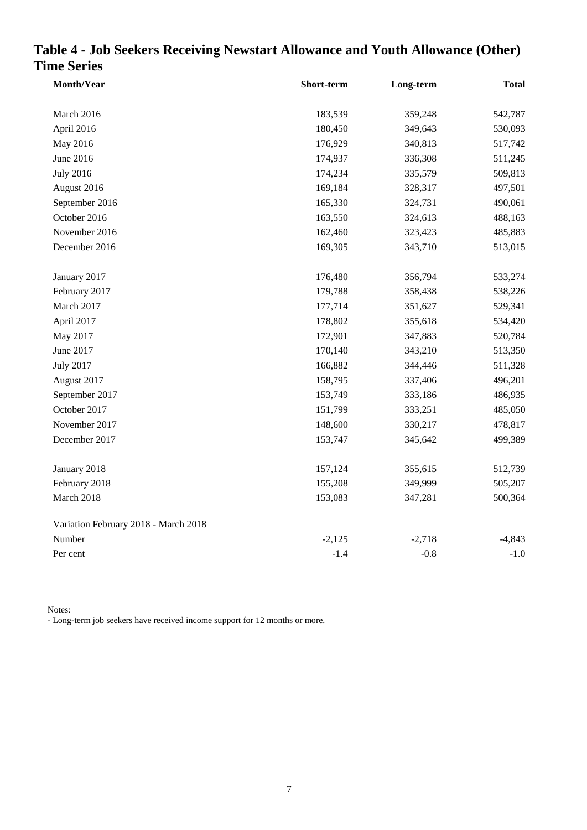| Month/Year                           | Short-term | Long-term | <b>Total</b> |
|--------------------------------------|------------|-----------|--------------|
|                                      |            |           |              |
| March 2016                           | 183,539    | 359,248   | 542,787      |
| April 2016                           | 180,450    | 349,643   | 530,093      |
| May 2016                             | 176,929    | 340,813   | 517,742      |
| June 2016                            | 174,937    | 336,308   | 511,245      |
| <b>July 2016</b>                     | 174,234    | 335,579   | 509,813      |
| August 2016                          | 169,184    | 328,317   | 497,501      |
| September 2016                       | 165,330    | 324,731   | 490,061      |
| October 2016                         | 163,550    | 324,613   | 488,163      |
| November 2016                        | 162,460    | 323,423   | 485,883      |
| December 2016                        | 169,305    | 343,710   | 513,015      |
| January 2017                         | 176,480    | 356,794   | 533,274      |
| February 2017                        | 179,788    | 358,438   | 538,226      |
| March 2017                           | 177,714    | 351,627   | 529,341      |
| April 2017                           | 178,802    | 355,618   | 534,420      |
| May 2017                             | 172,901    | 347,883   | 520,784      |
| June 2017                            | 170,140    | 343,210   | 513,350      |
| <b>July 2017</b>                     | 166,882    | 344,446   | 511,328      |
| August 2017                          | 158,795    | 337,406   | 496,201      |
| September 2017                       | 153,749    | 333,186   | 486,935      |
| October 2017                         | 151,799    | 333,251   | 485,050      |
| November 2017                        | 148,600    | 330,217   | 478,817      |
| December 2017                        | 153,747    | 345,642   | 499,389      |
| January 2018                         | 157,124    | 355,615   | 512,739      |
| February 2018                        | 155,208    | 349,999   | 505,207      |
| March 2018                           | 153,083    | 347,281   | 500,364      |
| Variation February 2018 - March 2018 |            |           |              |
| Number                               | $-2,125$   | $-2,718$  | $-4,843$     |
| Per cent                             | $-1.4$     | $-0.8$    | $-1.0$       |

# <span id="page-7-0"></span>**Table 4 - Job Seekers Receiving Newstart Allowance and Youth Allowance (Other) Time Series**

Notes:

- Long-term job seekers have received income support for 12 months or more.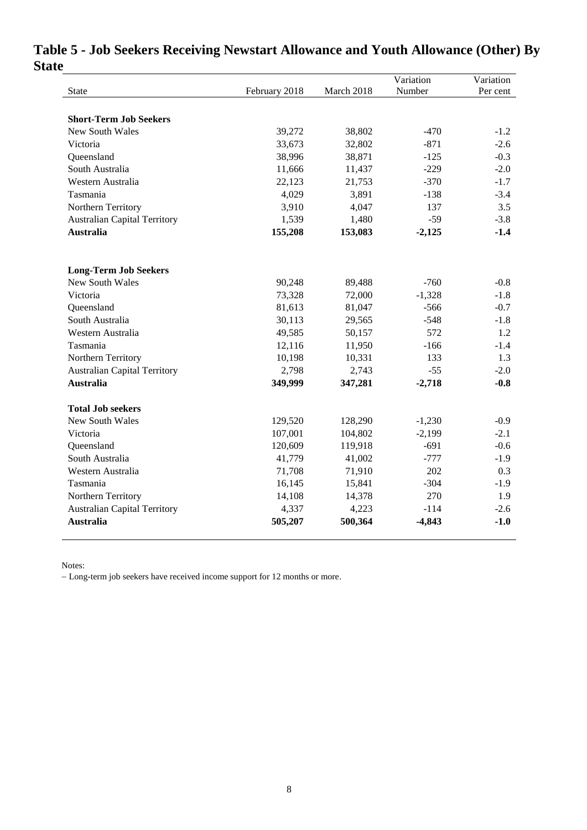|                                     |               |            | Variation | Variation |
|-------------------------------------|---------------|------------|-----------|-----------|
| State                               | February 2018 | March 2018 | Number    | Per cent  |
|                                     |               |            |           |           |
| <b>Short-Term Job Seekers</b>       |               |            |           |           |
| New South Wales                     | 39,272        | 38,802     | $-470$    | $-1.2$    |
| Victoria                            | 33,673        | 32,802     | $-871$    | $-2.6$    |
| Queensland                          | 38,996        | 38,871     | $-125$    | $-0.3$    |
| South Australia                     | 11,666        | 11,437     | $-229$    | $-2.0$    |
| Western Australia                   | 22,123        | 21,753     | $-370$    | $-1.7$    |
| Tasmania                            | 4,029         | 3,891      | $-138$    | $-3.4$    |
| Northern Territory                  | 3,910         | 4,047      | 137       | 3.5       |
| <b>Australian Capital Territory</b> | 1,539         | 1,480      | $-59$     | $-3.8$    |
| <b>Australia</b>                    | 155,208       | 153,083    | $-2,125$  | $-1.4$    |
| <b>Long-Term Job Seekers</b>        |               |            |           |           |
| <b>New South Wales</b>              | 90,248        | 89,488     | $-760$    | $-0.8$    |
| Victoria                            | 73,328        | 72,000     | $-1,328$  | $-1.8$    |
| Queensland                          | 81,613        | 81,047     | $-566$    | $-0.7$    |
| South Australia                     | 30,113        | 29,565     | $-548$    | $-1.8$    |
| Western Australia                   | 49,585        | 50,157     | 572       | 1.2       |
| Tasmania                            | 12,116        | 11,950     | $-166$    | $-1.4$    |
| Northern Territory                  | 10,198        | 10,331     | 133       | 1.3       |
| <b>Australian Capital Territory</b> | 2,798         | 2,743      | $-55$     | $-2.0$    |
| <b>Australia</b>                    | 349,999       | 347,281    | $-2,718$  | $-0.8$    |
| <b>Total Job seekers</b>            |               |            |           |           |
| New South Wales                     | 129,520       | 128,290    | $-1,230$  | $-0.9$    |
| Victoria                            | 107,001       | 104,802    | $-2,199$  | $-2.1$    |
| Queensland                          | 120,609       | 119,918    | $-691$    | $-0.6$    |
| South Australia                     | 41,779        | 41,002     | $-777$    | $-1.9$    |
| Western Australia                   | 71,708        | 71,910     | 202       | 0.3       |
| Tasmania                            | 16,145        | 15,841     | $-304$    | $-1.9$    |
| Northern Territory                  | 14,108        | 14,378     | 270       | 1.9       |
| <b>Australian Capital Territory</b> | 4,337         | 4,223      | $-114$    | $-2.6$    |
| <b>Australia</b>                    | 505,207       | 500,364    | $-4,843$  | $-1.0$    |

# <span id="page-8-0"></span>**Table 5 - Job Seekers Receiving Newstart Allowance and Youth Allowance (Other) By State**

Notes:

Long-term job seekers have received income support for 12 months or more.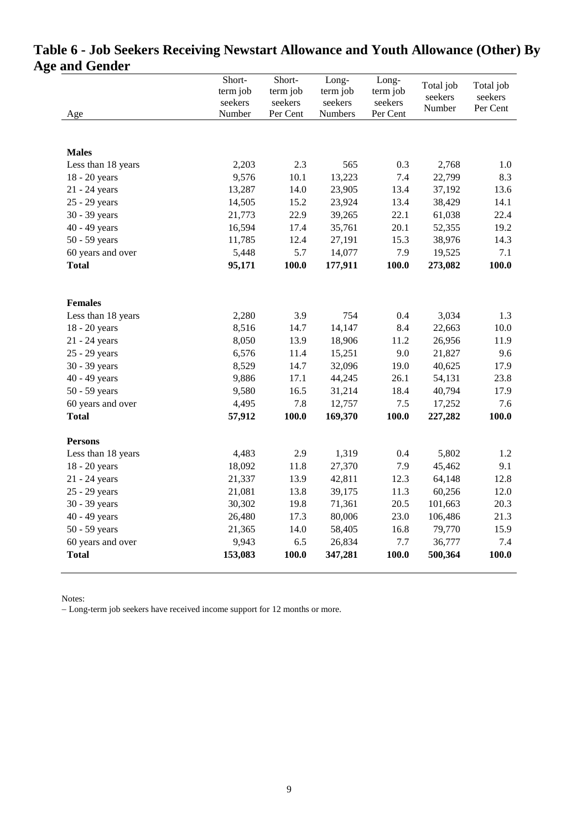| <b>Males</b><br>Less than 18 years<br>18 - 20 years<br>21 - 24 years<br>25 - 29 years | 2,203   |       |         |       |         |       |
|---------------------------------------------------------------------------------------|---------|-------|---------|-------|---------|-------|
|                                                                                       |         |       |         |       |         |       |
|                                                                                       |         |       |         |       |         |       |
|                                                                                       |         | 2.3   | 565     | 0.3   | 2,768   | 1.0   |
|                                                                                       | 9,576   | 10.1  | 13,223  | 7.4   | 22,799  | 8.3   |
|                                                                                       | 13,287  | 14.0  | 23,905  | 13.4  | 37,192  | 13.6  |
|                                                                                       | 14,505  | 15.2  | 23,924  | 13.4  | 38,429  | 14.1  |
| 30 - 39 years                                                                         | 21,773  | 22.9  | 39,265  | 22.1  | 61,038  | 22.4  |
| 40 - 49 years                                                                         | 16,594  | 17.4  | 35,761  | 20.1  | 52,355  | 19.2  |
| 50 - 59 years                                                                         | 11,785  | 12.4  | 27,191  | 15.3  | 38,976  | 14.3  |
| 60 years and over                                                                     | 5,448   | 5.7   | 14,077  | 7.9   | 19,525  | 7.1   |
| <b>Total</b>                                                                          | 95,171  | 100.0 | 177,911 | 100.0 | 273,082 | 100.0 |
|                                                                                       |         |       |         |       |         |       |
| <b>Females</b>                                                                        |         |       |         |       |         |       |
| Less than 18 years                                                                    | 2,280   | 3.9   | 754     | 0.4   | 3,034   | 1.3   |
| 18 - 20 years                                                                         | 8,516   | 14.7  | 14,147  | 8.4   | 22,663  | 10.0  |
| 21 - 24 years                                                                         | 8,050   | 13.9  | 18,906  | 11.2  | 26,956  | 11.9  |
| 25 - 29 years                                                                         | 6,576   | 11.4  | 15,251  | 9.0   | 21,827  | 9.6   |
| 30 - 39 years                                                                         | 8,529   | 14.7  | 32,096  | 19.0  | 40,625  | 17.9  |
| 40 - 49 years                                                                         | 9,886   | 17.1  | 44,245  | 26.1  | 54,131  | 23.8  |
| 50 - 59 years                                                                         | 9,580   | 16.5  | 31,214  | 18.4  | 40,794  | 17.9  |
| 60 years and over                                                                     | 4,495   | 7.8   | 12,757  | 7.5   | 17,252  | 7.6   |
| <b>Total</b>                                                                          | 57,912  | 100.0 | 169,370 | 100.0 | 227,282 | 100.0 |
| <b>Persons</b>                                                                        |         |       |         |       |         |       |
| Less than 18 years                                                                    | 4,483   | 2.9   | 1,319   | 0.4   | 5,802   | 1.2   |
| 18 - 20 years                                                                         | 18,092  | 11.8  | 27,370  | 7.9   | 45,462  | 9.1   |
| 21 - 24 years                                                                         | 21,337  | 13.9  | 42,811  | 12.3  | 64,148  | 12.8  |
| 25 - 29 years                                                                         | 21,081  | 13.8  | 39,175  | 11.3  | 60,256  | 12.0  |
| 30 - 39 years                                                                         | 30,302  | 19.8  | 71,361  | 20.5  | 101,663 | 20.3  |
| 40 - 49 years                                                                         | 26,480  | 17.3  | 80,006  | 23.0  | 106,486 | 21.3  |
| 50 - 59 years                                                                         | 21,365  | 14.0  | 58,405  | 16.8  | 79,770  | 15.9  |
| 60 years and over                                                                     | 9,943   | 6.5   | 26,834  | 7.7   | 36,777  | 7.4   |
| <b>Total</b>                                                                          | 153,083 | 100.0 | 347,281 | 100.0 | 500,364 | 100.0 |

# <span id="page-9-0"></span>**Table 6 - Job Seekers Receiving Newstart Allowance and Youth Allowance (Other) By Age and Gender**

Notes:

Long-term job seekers have received income support for 12 months or more.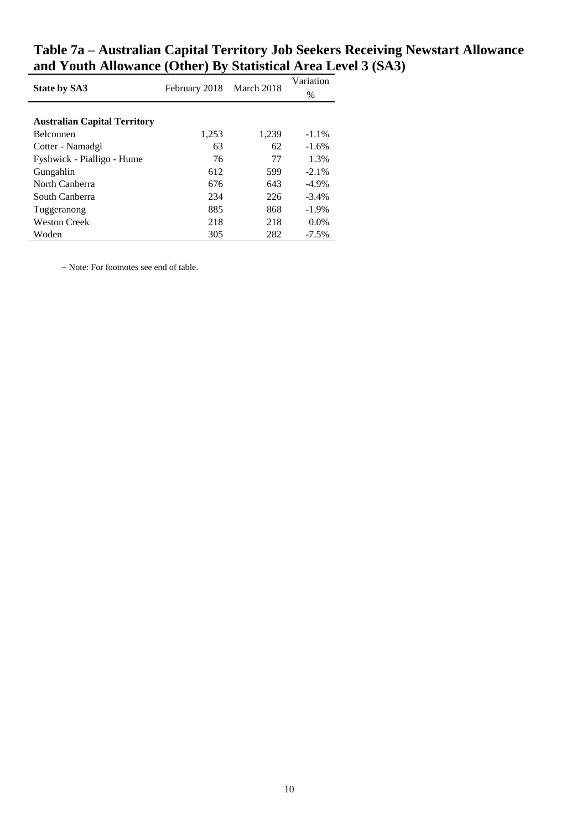|                                     |               | March 2018 | Variation |
|-------------------------------------|---------------|------------|-----------|
| <b>State by SA3</b>                 | February 2018 |            | $\%$      |
|                                     |               |            |           |
| <b>Australian Capital Territory</b> |               |            |           |
| <b>Belconnen</b>                    | 1,253         | 1,239      | $-1.1%$   |
| Cotter - Namadgi                    | 63            | 62         | $-1.6%$   |
| Fyshwick - Pialligo - Hume          | 76            | 77         | 1.3%      |
| Gungahlin                           | 612           | 599        | $-2.1\%$  |
| North Canberra                      | 676           | 643        | $-4.9\%$  |
| South Canberra                      | 234           | 226        | $-3.4\%$  |
| Tuggeranong                         | 885           | 868        | $-1.9\%$  |
| <b>Weston Creek</b>                 | 218           | 218        | $0.0\%$   |
| Woden                               | 305           | 282        | $-7.5\%$  |

# <span id="page-10-0"></span>**Table 7a – Australian Capital Territory Job Seekers Receiving Newstart Allowance and Youth Allowance (Other) By Statistical Area Level 3 (SA3)**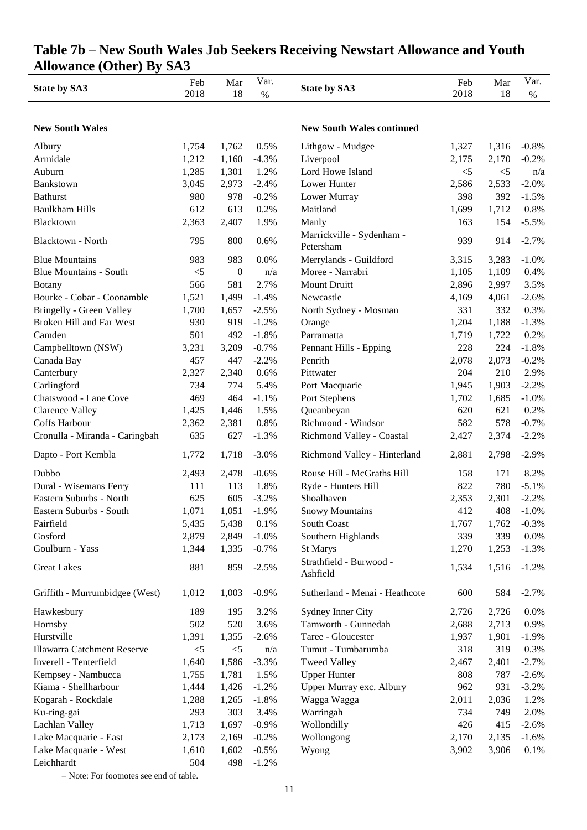| <b>State by SA3</b>            | Feb<br>2018 | Mar<br>18        | Var.<br>$\%$ | <b>State by SA3</b>                    | Feb<br>2018 | Mar<br>18 | Var.<br>$\%$ |
|--------------------------------|-------------|------------------|--------------|----------------------------------------|-------------|-----------|--------------|
|                                |             |                  |              |                                        |             |           |              |
| <b>New South Wales</b>         |             |                  |              | <b>New South Wales continued</b>       |             |           |              |
| Albury                         | 1,754       | 1,762            | 0.5%         | Lithgow - Mudgee                       | 1,327       | 1,316     | $-0.8%$      |
| Armidale                       | 1,212       | 1,160            | $-4.3%$      | Liverpool                              | 2,175       | 2,170     | $-0.2%$      |
| Auburn                         | 1,285       | 1,301            | 1.2%         | Lord Howe Island                       | $<$ 5       | $<$ 5     | n/a          |
| Bankstown                      | 3,045       | 2,973            | $-2.4%$      | Lower Hunter                           | 2,586       | 2,533     | $-2.0%$      |
| <b>Bathurst</b>                | 980         | 978              | $-0.2%$      | Lower Murray                           | 398         | 392       | $-1.5%$      |
| <b>Baulkham Hills</b>          | 612         | 613              | 0.2%         | Maitland                               | 1,699       | 1,712     | 0.8%         |
| Blacktown                      | 2,363       | 2,407            | 1.9%         | Manly                                  | 163         | 154       | $-5.5%$      |
| <b>Blacktown - North</b>       | 795         | 800              | 0.6%         | Marrickville - Sydenham -<br>Petersham | 939         | 914       | $-2.7%$      |
| <b>Blue Mountains</b>          | 983         | 983              | 0.0%         | Merrylands - Guildford                 | 3,315       | 3,283     | $-1.0%$      |
| <b>Blue Mountains - South</b>  | $<$ 5       | $\boldsymbol{0}$ | n/a          | Moree - Narrabri                       | 1,105       | 1,109     | 0.4%         |
| <b>Botany</b>                  | 566         | 581              | 2.7%         | Mount Druitt                           | 2,896       | 2,997     | 3.5%         |
| Bourke - Cobar - Coonamble     | 1,521       | 1,499            | $-1.4%$      | Newcastle                              | 4,169       | 4,061     | $-2.6%$      |
| Bringelly - Green Valley       | 1,700       | 1,657            | $-2.5%$      | North Sydney - Mosman                  | 331         | 332       | 0.3%         |
| Broken Hill and Far West       | 930         | 919              | $-1.2%$      | Orange                                 | 1,204       | 1,188     | $-1.3%$      |
| Camden                         | 501         | 492              | $-1.8%$      | Parramatta                             | 1,719       | 1,722     | 0.2%         |
| Campbelltown (NSW)             | 3,231       | 3,209            | $-0.7%$      | Pennant Hills - Epping                 | 228         | 224       | $-1.8%$      |
| Canada Bay                     | 457         | 447              | $-2.2%$      | Penrith                                | 2,078       | 2,073     | $-0.2%$      |
| Canterbury                     | 2,327       | 2,340            | 0.6%         | Pittwater                              | 204         | 210       | 2.9%         |
| Carlingford                    | 734         | 774              | 5.4%         | Port Macquarie                         | 1,945       | 1,903     | $-2.2%$      |
| Chatswood - Lane Cove          | 469         | 464              | $-1.1%$      | Port Stephens                          | 1,702       | 1,685     | $-1.0%$      |
| <b>Clarence Valley</b>         | 1,425       | 1,446            | 1.5%         | Queanbeyan                             | 620         | 621       | 0.2%         |
| Coffs Harbour                  | 2,362       | 2,381            | 0.8%         | Richmond - Windsor                     | 582         | 578       | $-0.7%$      |
| Cronulla - Miranda - Caringbah | 635         | 627              | $-1.3%$      | Richmond Valley - Coastal              | 2,427       | 2,374     | $-2.2%$      |
| Dapto - Port Kembla            | 1,772       | 1,718            | $-3.0\%$     | Richmond Valley - Hinterland           | 2,881       | 2,798     | $-2.9%$      |
| Dubbo                          | 2,493       | 2,478            | $-0.6%$      | Rouse Hill - McGraths Hill             | 158         | 171       | 8.2%         |
| Dural - Wisemans Ferry         | 111         | 113              | 1.8%         | Ryde - Hunters Hill                    | 822         | 780       | $-5.1%$      |
| Eastern Suburbs - North        | 625         | 605              | $-3.2%$      | Shoalhaven                             | 2,353       | 2,301     | $-2.2%$      |
| Eastern Suburbs - South        | 1,071       | 1,051            | $-1.9\%$     | <b>Snowy Mountains</b>                 | 412         | 408       | $-1.0\%$     |
| Fairfield                      | 5,435       | 5,438            | 0.1%         | South Coast                            | 1,767       | 1,762     | $-0.3%$      |
| Gosford                        | 2,879       | 2,849            | $-1.0%$      | Southern Highlands                     | 339         | 339       | 0.0%         |
| Goulburn - Yass                | 1,344       | 1,335            | $-0.7%$      | St Marys                               | 1,270       | 1,253     | $-1.3%$      |
| <b>Great Lakes</b>             | 881         | 859              | $-2.5%$      | Strathfield - Burwood -<br>Ashfield    | 1,534       | 1,516     | $-1.2%$      |
| Griffith - Murrumbidgee (West) | 1,012       | 1,003            | $-0.9%$      | Sutherland - Menai - Heathcote         | 600         | 584       | $-2.7%$      |
| Hawkesbury                     | 189         | 195              | 3.2%         | Sydney Inner City                      | 2,726       | 2,726     | 0.0%         |
| Hornsby                        | 502         | 520              | 3.6%         | Tamworth - Gunnedah                    | 2,688       | 2,713     | 0.9%         |
| Hurstville                     | 1,391       | 1,355            | $-2.6%$      | Taree - Gloucester                     | 1,937       | 1,901     | $-1.9%$      |
| Illawarra Catchment Reserve    | $< 5$       | $< 5$            | n/a          | Tumut - Tumbarumba                     | 318         | 319       | 0.3%         |
| Inverell - Tenterfield         | 1,640       | 1,586            | $-3.3%$      | <b>Tweed Valley</b>                    | 2,467       | 2,401     | $-2.7%$      |
| Kempsey - Nambucca             | 1,755       | 1,781            | 1.5%         | <b>Upper Hunter</b>                    | 808         | 787       | $-2.6%$      |
| Kiama - Shellharbour           | 1,444       | 1,426            | $-1.2%$      | Upper Murray exc. Albury               | 962         | 931       | $-3.2%$      |
| Kogarah - Rockdale             | 1,288       | 1,265            | $-1.8%$      | Wagga Wagga                            | 2,011       | 2,036     | 1.2%         |
| Ku-ring-gai                    | 293         | 303              | 3.4%         | Warringah                              | 734         | 749       | 2.0%         |
| Lachlan Valley                 | 1,713       | 1,697            | $-0.9%$      | Wollondilly                            | 426         | 415       | $-2.6%$      |
| Lake Macquarie - East          | 2,173       | 2,169            | $-0.2%$      | Wollongong                             | 2,170       | 2,135     | $-1.6%$      |
| Lake Macquarie - West          | 1,610       | 1,602            | $-0.5%$      | Wyong                                  | 3,902       | 3,906     | 0.1%         |
| Leichhardt                     | 504         | 498              | $-1.2%$      |                                        |             |           |              |

# **Table 7b – New South Wales Job Seekers Receiving Newstart Allowance and Youth Allowance (Other) By SA3**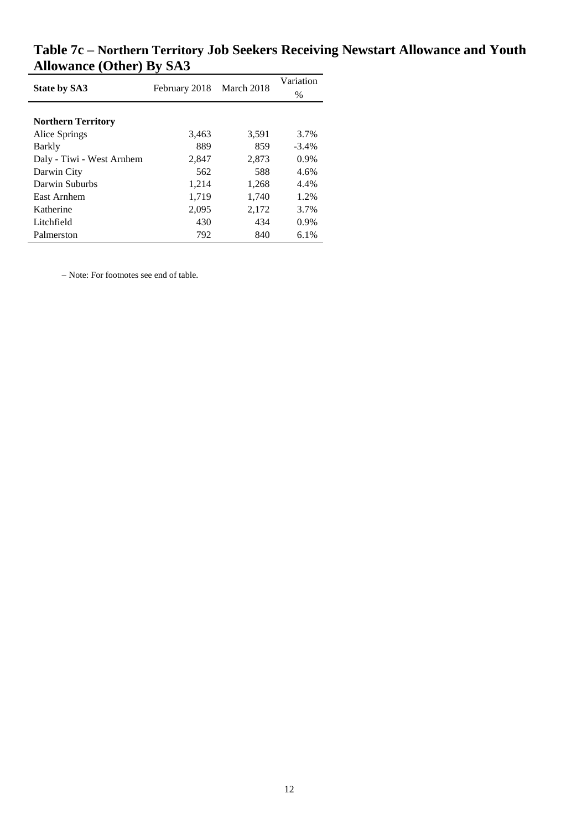| <b>State by SA3</b>       | February 2018 | March 2018 | Variation |
|---------------------------|---------------|------------|-----------|
|                           |               |            | $\%$      |
|                           |               |            |           |
| <b>Northern Territory</b> |               |            |           |
| Alice Springs             | 3,463         | 3,591      | 3.7%      |
| Barkly                    | 889           | 859        | $-3.4\%$  |
| Daly - Tiwi - West Arnhem | 2,847         | 2,873      | $0.9\%$   |
| Darwin City               | 562           | 588        | 4.6%      |
| Darwin Suburbs            | 1,214         | 1,268      | 4.4%      |
| East Arnhem               | 1,719         | 1,740      | 1.2%      |
| Katherine                 | 2,095         | 2,172      | 3.7%      |
| Litchfield                | 430           | 434        | $0.9\%$   |
| Palmerston                | 792           | 840        | 6.1%      |

**Table 7c – Northern Territory Job Seekers Receiving Newstart Allowance and Youth Allowance (Other) By SA3**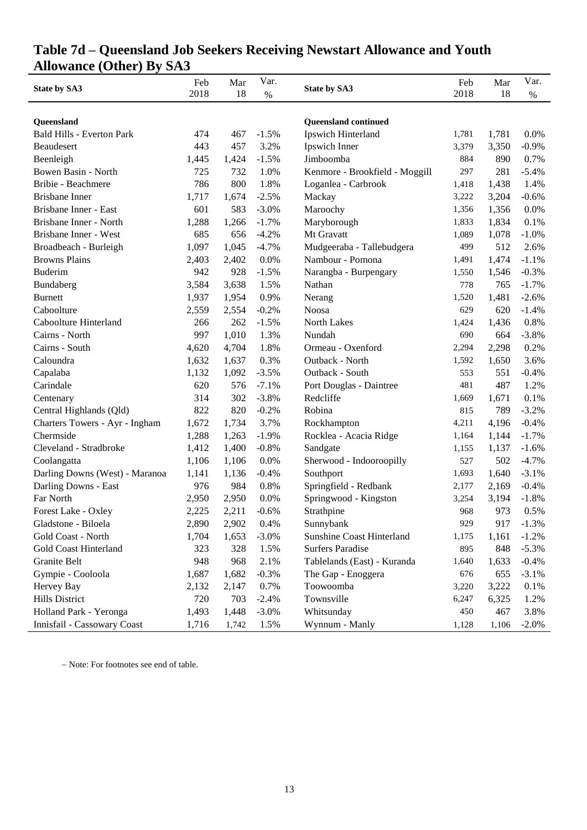# **Table 7d – Queensland Job Seekers Receiving Newstart Allowance and Youth Allowance (Other) By SA3**

|                                  | Feb   | Mar   | Var.    | <b>State by SA3</b>              | Feb   | Mar   | Var.    |
|----------------------------------|-------|-------|---------|----------------------------------|-------|-------|---------|
| <b>State by SA3</b>              | 2018  | 18    | $\%$    |                                  | 2018  | 18    | $\%$    |
|                                  |       |       |         |                                  |       |       |         |
| Queensland                       |       |       |         | <b>Queensland continued</b>      |       |       |         |
| <b>Bald Hills - Everton Park</b> | 474   | 467   | $-1.5%$ | Ipswich Hinterland               | 1,781 | 1,781 | 0.0%    |
| Beaudesert                       | 443   | 457   | 3.2%    | Ipswich Inner                    | 3,379 | 3,350 | $-0.9%$ |
| Beenleigh                        | 1,445 | 1,424 | $-1.5%$ | Jimboomba                        | 884   | 890   | 0.7%    |
| Bowen Basin - North              | 725   | 732   | 1.0%    | Kenmore - Brookfield - Moggill   | 297   | 281   | $-5.4%$ |
| Bribie - Beachmere               | 786   | 800   | 1.8%    | Loganlea - Carbrook              | 1,418 | 1,438 | 1.4%    |
| <b>Brisbane</b> Inner            | 1,717 | 1,674 | $-2.5%$ | Mackay                           | 3,222 | 3,204 | $-0.6%$ |
| Brisbane Inner - East            | 601   | 583   | $-3.0%$ | Maroochy                         | 1,356 | 1,356 | 0.0%    |
| Brisbane Inner - North           | 1,288 | 1,266 | $-1.7%$ | Maryborough                      | 1,833 | 1,834 | 0.1%    |
| Brisbane Inner - West            | 685   | 656   | $-4.2%$ | Mt Gravatt                       | 1,089 | 1,078 | $-1.0%$ |
| Broadbeach - Burleigh            | 1,097 | 1,045 | $-4.7%$ | Mudgeeraba - Tallebudgera        | 499   | 512   | 2.6%    |
| <b>Browns Plains</b>             | 2,403 | 2,402 | 0.0%    | Nambour - Pomona                 | 1,491 | 1,474 | $-1.1%$ |
| <b>Buderim</b>                   | 942   | 928   | $-1.5%$ | Narangba - Burpengary            | 1,550 | 1,546 | $-0.3%$ |
| Bundaberg                        | 3,584 | 3,638 | 1.5%    | Nathan                           | 778   | 765   | $-1.7%$ |
| <b>Burnett</b>                   | 1,937 | 1,954 | 0.9%    | Nerang                           | 1,520 | 1,481 | $-2.6%$ |
| Caboolture                       | 2,559 | 2,554 | $-0.2%$ | <b>Noosa</b>                     | 629   | 620   | $-1.4%$ |
| Caboolture Hinterland            | 266   | 262   | $-1.5%$ | <b>North Lakes</b>               | 1,424 | 1,436 | 0.8%    |
| Cairns - North                   | 997   | 1,010 | 1.3%    | Nundah                           | 690   | 664   | $-3.8%$ |
| Cairns - South                   | 4,620 | 4,704 | 1.8%    | Ormeau - Oxenford                | 2,294 | 2,298 | 0.2%    |
| Caloundra                        | 1,632 | 1,637 | 0.3%    | Outback - North                  | 1,592 | 1,650 | 3.6%    |
| Capalaba                         | 1,132 | 1,092 | $-3.5%$ | Outback - South                  | 553   | 551   | $-0.4%$ |
| Carindale                        | 620   | 576   | $-7.1%$ | Port Douglas - Daintree          | 481   | 487   | 1.2%    |
| Centenary                        | 314   | 302   | $-3.8%$ | Redcliffe                        | 1,669 | 1,671 | 0.1%    |
| Central Highlands (Qld)          | 822   | 820   | $-0.2%$ | Robina                           | 815   | 789   | $-3.2%$ |
| Charters Towers - Ayr - Ingham   | 1,672 | 1,734 | 3.7%    | Rockhampton                      | 4,211 | 4,196 | $-0.4%$ |
| Chermside                        | 1,288 | 1,263 | $-1.9%$ | Rocklea - Acacia Ridge           | 1,164 | 1,144 | $-1.7%$ |
| Cleveland - Stradbroke           | 1,412 | 1,400 | $-0.8%$ | Sandgate                         | 1,155 | 1,137 | $-1.6%$ |
| Coolangatta                      | 1,106 | 1,106 | 0.0%    | Sherwood - Indooroopilly         | 527   | 502   | $-4.7%$ |
| Darling Downs (West) - Maranoa   | 1,141 | 1,136 | $-0.4%$ | Southport                        | 1,693 | 1,640 | $-3.1%$ |
| Darling Downs - East             | 976   | 984   | 0.8%    | Springfield - Redbank            | 2,177 | 2,169 | $-0.4%$ |
| Far North                        | 2,950 | 2,950 | 0.0%    | Springwood - Kingston            | 3,254 | 3,194 | $-1.8%$ |
| Forest Lake - Oxley              | 2,225 | 2,211 | $-0.6%$ | Strathpine                       | 968   | 973   | 0.5%    |
| Gladstone - Biloela              | 2,890 | 2,902 | 0.4%    | Sunnybank                        | 929   | 917   | $-1.3%$ |
| Gold Coast - North               | 1,704 | 1,653 | $-3.0%$ | <b>Sunshine Coast Hinterland</b> | 1,175 | 1,161 | $-1.2%$ |
| <b>Gold Coast Hinterland</b>     | 323   | 328   | 1.5%    | <b>Surfers Paradise</b>          | 895   | 848   | $-5.3%$ |
| Granite Belt                     | 948   | 968   | 2.1%    | Tablelands (East) - Kuranda      | 1,640 | 1,633 | $-0.4%$ |
| Gympie - Cooloola                | 1,687 | 1,682 | $-0.3%$ | The Gap - Enoggera               | 676   | 655   | $-3.1%$ |
| Hervey Bay                       | 2,132 | 2,147 | 0.7%    | Toowoomba                        | 3,220 | 3,222 | 0.1%    |
| <b>Hills District</b>            | 720   | 703   | $-2.4%$ | Townsville                       | 6,247 | 6,325 | 1.2%    |
| Holland Park - Yeronga           | 1,493 | 1,448 | $-3.0%$ | Whitsunday                       | 450   | 467   | 3.8%    |
| Innisfail - Cassowary Coast      | 1,716 | 1,742 | 1.5%    | Wynnum - Manly                   | 1,128 | 1,106 | $-2.0%$ |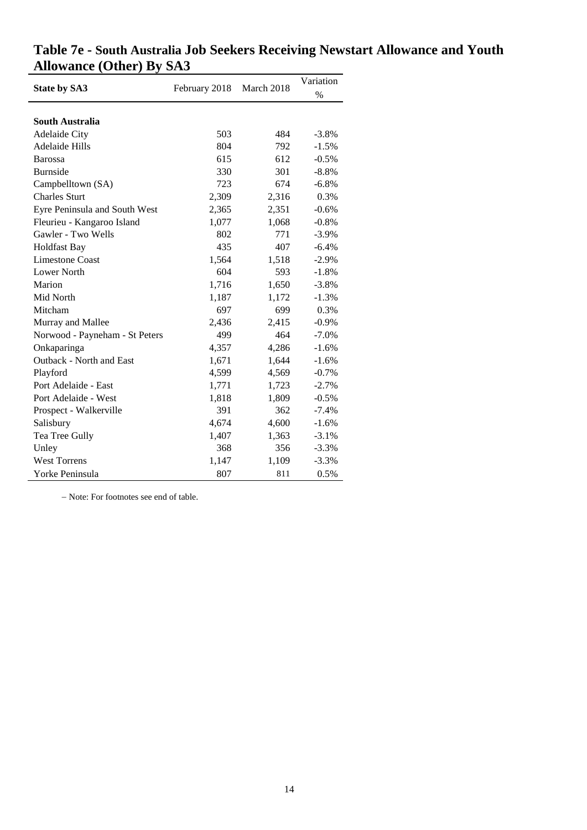| <b>State by SA3</b>            | February 2018 | March 2018 | Variation |
|--------------------------------|---------------|------------|-----------|
|                                |               |            | $\%$      |
|                                |               |            |           |
| South Australia                |               |            |           |
| <b>Adelaide City</b>           | 503           | 484        | $-3.8%$   |
| <b>Adelaide Hills</b>          | 804           | 792        | $-1.5%$   |
| <b>Barossa</b>                 | 615           | 612        | $-0.5%$   |
| <b>Burnside</b>                | 330           | 301        | $-8.8%$   |
| Campbelltown (SA)              | 723           | 674        | $-6.8%$   |
| <b>Charles Sturt</b>           | 2,309         | 2,316      | 0.3%      |
| Eyre Peninsula and South West  | 2,365         | 2,351      | $-0.6%$   |
| Fleurieu - Kangaroo Island     | 1,077         | 1,068      | $-0.8%$   |
| Gawler - Two Wells             | 802           | 771        | $-3.9\%$  |
| <b>Holdfast Bay</b>            | 435           | 407        | $-6.4%$   |
| <b>Limestone Coast</b>         | 1,564         | 1,518      | $-2.9%$   |
| Lower North                    | 604           | 593        | $-1.8%$   |
| Marion                         | 1,716         | 1,650      | $-3.8%$   |
| Mid North                      | 1,187         | 1,172      | $-1.3%$   |
| Mitcham                        | 697           | 699        | 0.3%      |
| Murray and Mallee              | 2,436         | 2,415      | $-0.9%$   |
| Norwood - Payneham - St Peters | 499           | 464        | $-7.0\%$  |
| Onkaparinga                    | 4,357         | 4,286      | $-1.6%$   |
| Outback - North and East       | 1,671         | 1,644      | $-1.6%$   |
| Playford                       | 4,599         | 4,569      | $-0.7%$   |
| Port Adelaide - East           | 1,771         | 1,723      | $-2.7%$   |
| Port Adelaide - West           | 1,818         | 1,809      | $-0.5%$   |
| Prospect - Walkerville         | 391           | 362        | $-7.4%$   |
| Salisbury                      | 4,674         | 4,600      | $-1.6%$   |
| Tea Tree Gully                 | 1,407         | 1,363      | $-3.1%$   |
| Unley                          | 368           | 356        | $-3.3%$   |
| <b>West Torrens</b>            | 1,147         | 1,109      | $-3.3%$   |
| Yorke Peninsula                | 807           | 811        | 0.5%      |

# **Table 7e - South Australia Job Seekers Receiving Newstart Allowance and Youth Allowance (Other) By SA3**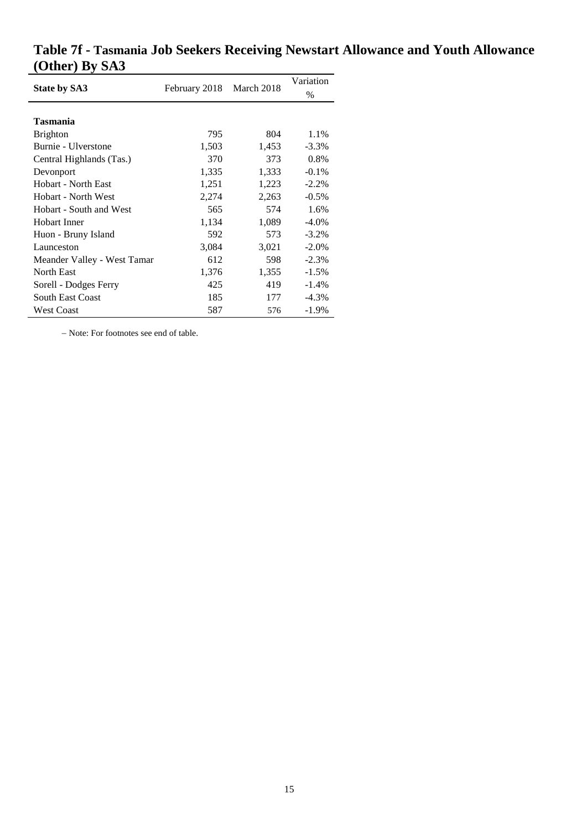|                             | February 2018 March 2018 |       | Variation |
|-----------------------------|--------------------------|-------|-----------|
| <b>State by SA3</b>         |                          |       | $\%$      |
|                             |                          |       |           |
| <b>Tasmania</b>             |                          |       |           |
| <b>Brighton</b>             | 795                      | 804   | 1.1%      |
| Burnie - Ulverstone         | 1,503                    | 1,453 | $-3.3\%$  |
| Central Highlands (Tas.)    | 370                      | 373   | 0.8%      |
| Devonport                   | 1,335                    | 1,333 | $-0.1\%$  |
| Hobart - North East         | 1,251                    | 1,223 | $-2.2%$   |
| Hobart - North West         | 2,274                    | 2,263 | $-0.5\%$  |
| Hobart - South and West     | 565                      | 574   | 1.6%      |
| Hobart Inner                | 1,134                    | 1,089 | $-4.0\%$  |
| Huon - Bruny Island         | 592                      | 573   | $-3.2\%$  |
| Launceston                  | 3,084                    | 3,021 | $-2.0\%$  |
| Meander Valley - West Tamar | 612                      | 598   | $-2.3%$   |
| North East                  | 1,376                    | 1,355 | $-1.5\%$  |
| Sorell - Dodges Ferry       | 425                      | 419   | $-1.4%$   |
| <b>South East Coast</b>     | 185                      | 177   | $-4.3\%$  |
| <b>West Coast</b>           | 587                      | 576   | $-1.9\%$  |

# **Table 7f - Tasmania Job Seekers Receiving Newstart Allowance and Youth Allowance (Other) By SA3**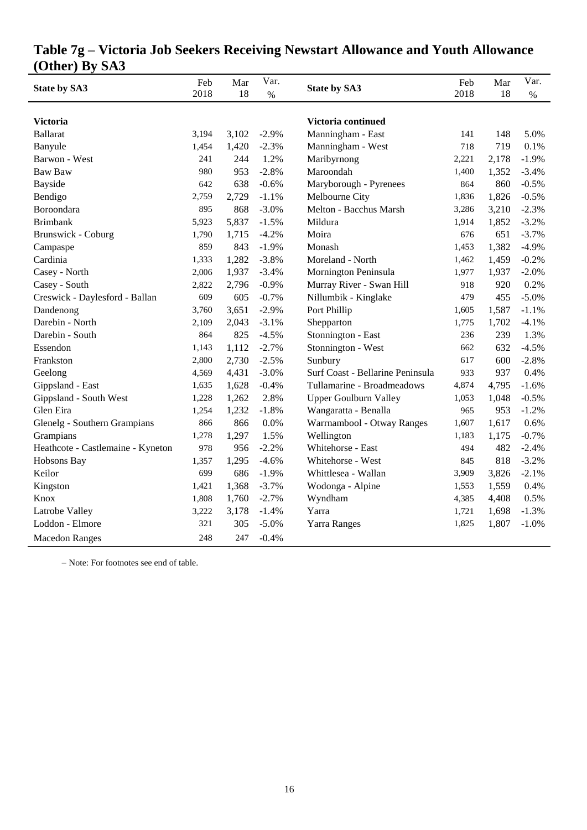| <b>State by SA3</b>               | Feb<br>2018 | Mar<br>18 | Var.<br>$\%$ | <b>State by SA3</b>              | Feb<br>2018 | Mar<br>18 | Var.<br>$\%$ |
|-----------------------------------|-------------|-----------|--------------|----------------------------------|-------------|-----------|--------------|
|                                   |             |           |              |                                  |             |           |              |
| <b>Victoria</b>                   |             |           |              | Victoria continued               |             |           |              |
| <b>Ballarat</b>                   | 3,194       | 3,102     | $-2.9%$      | Manningham - East                | 141         | 148       | 5.0%         |
| Banyule                           | 1,454       | 1,420     | $-2.3%$      | Manningham - West                | 718         | 719       | 0.1%         |
| Barwon - West                     | 241         | 244       | 1.2%         | Maribyrnong                      | 2,221       | 2,178     | $-1.9%$      |
| Baw Baw                           | 980         | 953       | $-2.8%$      | Maroondah                        | 1,400       | 1,352     | $-3.4%$      |
| <b>Bayside</b>                    | 642         | 638       | $-0.6%$      | Maryborough - Pyrenees           | 864         | 860       | $-0.5%$      |
| Bendigo                           | 2,759       | 2,729     | $-1.1%$      | Melbourne City                   | 1,836       | 1,826     | $-0.5%$      |
| Boroondara                        | 895         | 868       | $-3.0%$      | Melton - Bacchus Marsh           | 3,286       | 3,210     | $-2.3%$      |
| <b>Brimbank</b>                   | 5,923       | 5,837     | $-1.5%$      | Mildura                          | 1,914       | 1,852     | $-3.2%$      |
| <b>Brunswick - Coburg</b>         | 1,790       | 1,715     | $-4.2%$      | Moira                            | 676         | 651       | $-3.7%$      |
| Campaspe                          | 859         | 843       | $-1.9%$      | Monash                           | 1,453       | 1,382     | $-4.9%$      |
| Cardinia                          | 1,333       | 1,282     | $-3.8%$      | Moreland - North                 | 1,462       | 1,459     | $-0.2%$      |
| Casey - North                     | 2,006       | 1,937     | $-3.4%$      | Mornington Peninsula             | 1,977       | 1,937     | $-2.0%$      |
| Casey - South                     | 2,822       | 2,796     | $-0.9%$      | Murray River - Swan Hill         | 918         | 920       | 0.2%         |
| Creswick - Daylesford - Ballan    | 609         | 605       | $-0.7%$      | Nillumbik - Kinglake             | 479         | 455       | $-5.0%$      |
| Dandenong                         | 3,760       | 3,651     | $-2.9%$      | Port Phillip                     | 1,605       | 1,587     | $-1.1%$      |
| Darebin - North                   | 2,109       | 2,043     | $-3.1%$      | Shepparton                       | 1,775       | 1,702     | $-4.1%$      |
| Darebin - South                   | 864         | 825       | $-4.5%$      | Stonnington - East               | 236         | 239       | 1.3%         |
| Essendon                          | 1,143       | 1,112     | $-2.7%$      | Stonnington - West               | 662         | 632       | $-4.5%$      |
| Frankston                         | 2,800       | 2,730     | $-2.5%$      | Sunbury                          | 617         | 600       | $-2.8%$      |
| Geelong                           | 4,569       | 4,431     | $-3.0%$      | Surf Coast - Bellarine Peninsula | 933         | 937       | 0.4%         |
| Gippsland - East                  | 1,635       | 1,628     | $-0.4%$      | Tullamarine - Broadmeadows       | 4,874       | 4,795     | $-1.6%$      |
| Gippsland - South West            | 1,228       | 1,262     | 2.8%         | <b>Upper Goulburn Valley</b>     | 1,053       | 1,048     | $-0.5%$      |
| Glen Eira                         | 1,254       | 1,232     | $-1.8%$      | Wangaratta - Benalla             | 965         | 953       | $-1.2%$      |
| Glenelg - Southern Grampians      | 866         | 866       | 0.0%         | Warrnambool - Otway Ranges       | 1,607       | 1,617     | 0.6%         |
| Grampians                         | 1,278       | 1,297     | 1.5%         | Wellington                       | 1,183       | 1,175     | $-0.7%$      |
| Heathcote - Castlemaine - Kyneton | 978         | 956       | $-2.2%$      | Whitehorse - East                | 494         | 482       | $-2.4%$      |
| Hobsons Bay                       | 1,357       | 1,295     | $-4.6%$      | Whitehorse - West                | 845         | 818       | $-3.2%$      |
| Keilor                            | 699         | 686       | $-1.9%$      | Whittlesea - Wallan              | 3,909       | 3,826     | $-2.1%$      |
| Kingston                          | 1,421       | 1,368     | $-3.7%$      | Wodonga - Alpine                 | 1,553       | 1,559     | 0.4%         |
| Knox                              | 1,808       | 1,760     | $-2.7%$      | Wyndham                          | 4,385       | 4,408     | 0.5%         |
| Latrobe Valley                    | 3,222       | 3,178     | $-1.4%$      | Yarra                            | 1,721       | 1,698     | $-1.3%$      |
| Loddon - Elmore                   | 321         | 305       | $-5.0%$      | <b>Yarra Ranges</b>              | 1,825       | 1,807     | $-1.0%$      |
| <b>Macedon Ranges</b>             | 248         | 247       | $-0.4%$      |                                  |             |           |              |

**Table 7g – Victoria Job Seekers Receiving Newstart Allowance and Youth Allowance (Other) By SA3**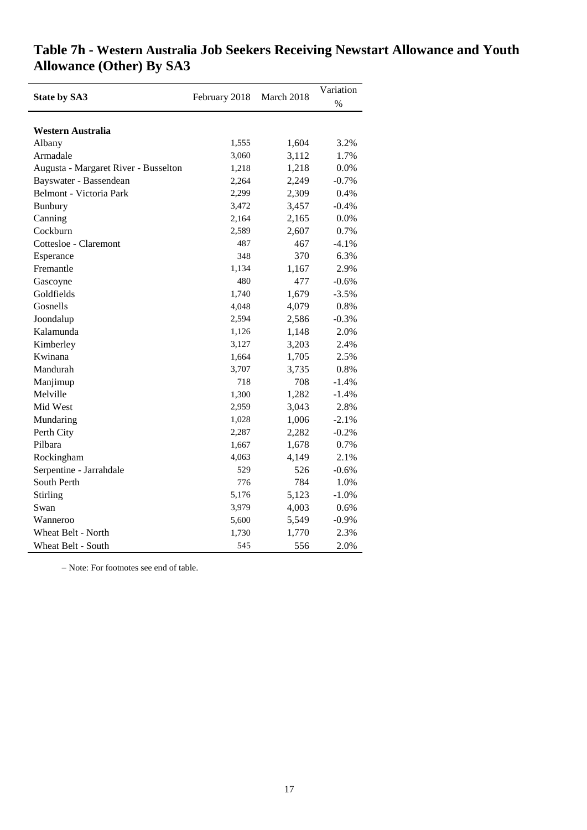|                                      |               | March 2018 | Variation |
|--------------------------------------|---------------|------------|-----------|
| <b>State by SA3</b>                  | February 2018 |            | $\%$      |
|                                      |               |            |           |
| Western Australia                    |               |            |           |
| Albany                               | 1,555         | 1,604      | 3.2%      |
| Armadale                             | 3,060         | 3,112      | 1.7%      |
| Augusta - Margaret River - Busselton | 1,218         | 1,218      | 0.0%      |
| Bayswater - Bassendean               | 2,264         | 2,249      | $-0.7%$   |
| Belmont - Victoria Park              | 2,299         | 2,309      | 0.4%      |
| <b>Bunbury</b>                       | 3,472         | 3,457      | $-0.4%$   |
| Canning                              | 2,164         | 2,165      | 0.0%      |
| Cockburn                             | 2,589         | 2,607      | 0.7%      |
| Cottesloe - Claremont                | 487           | 467        | $-4.1%$   |
| Esperance                            | 348           | 370        | 6.3%      |
| Fremantle                            | 1,134         | 1,167      | 2.9%      |
| Gascoyne                             | 480           | 477        | $-0.6%$   |
| Goldfields                           | 1,740         | 1,679      | $-3.5%$   |
| Gosnells                             | 4,048         | 4,079      | 0.8%      |
| Joondalup                            | 2,594         | 2,586      | $-0.3%$   |
| Kalamunda                            | 1,126         | 1,148      | 2.0%      |
| Kimberley                            | 3,127         | 3,203      | 2.4%      |
| Kwinana                              | 1,664         | 1,705      | 2.5%      |
| Mandurah                             | 3,707         | 3,735      | 0.8%      |
| Manjimup                             | 718           | 708        | $-1.4%$   |
| Melville                             | 1,300         | 1,282      | $-1.4%$   |
| Mid West                             | 2,959         | 3,043      | 2.8%      |
| Mundaring                            | 1,028         | 1,006      | $-2.1%$   |
| Perth City                           | 2,287         | 2,282      | $-0.2%$   |
| Pilbara                              | 1,667         | 1,678      | 0.7%      |
| Rockingham                           | 4,063         | 4,149      | 2.1%      |
| Serpentine - Jarrahdale              | 529           | 526        | $-0.6%$   |
| South Perth                          | 776           | 784        | 1.0%      |
| Stirling                             | 5,176         | 5,123      | $-1.0%$   |
| Swan                                 | 3,979         | 4,003      | 0.6%      |
| Wanneroo                             | 5,600         | 5,549      | $-0.9%$   |
| Wheat Belt - North                   | 1,730         | 1,770      | 2.3%      |
| Wheat Belt - South                   | 545           | 556        | 2.0%      |

# **Table 7h - Western Australia Job Seekers Receiving Newstart Allowance and Youth Allowance (Other) By SA3**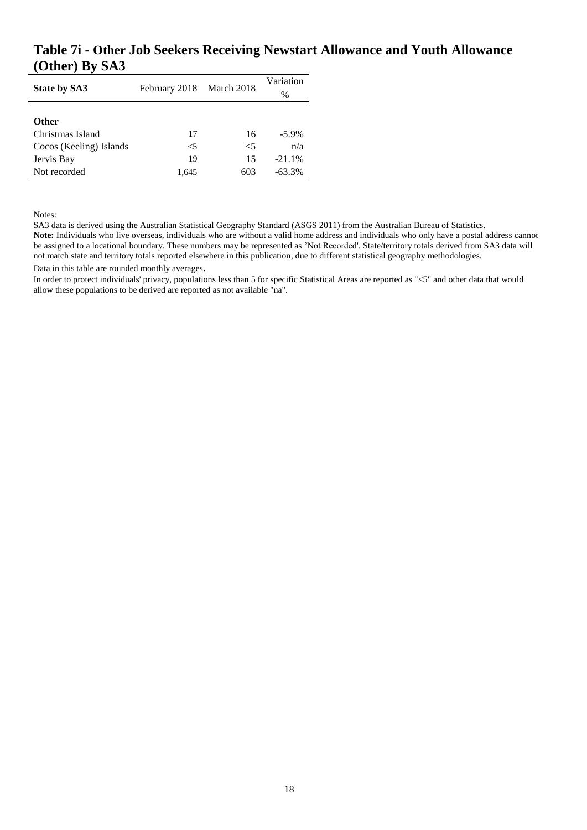### **Table 7i - Other Job Seekers Receiving Newstart Allowance and Youth Allowance (Other) By SA3**

| <b>State by SA3</b>     | February 2018 March 2018 |       | Variation<br>$\%$ |  |
|-------------------------|--------------------------|-------|-------------------|--|
| <b>Other</b>            |                          |       |                   |  |
| Christmas Island        | 17                       | 16    | $-5.9\%$          |  |
| Cocos (Keeling) Islands | $\leq 5$                 | $<$ 5 | n/a               |  |
| Jervis Bay              | 19                       | 15    | $-21.1%$          |  |
| Not recorded            | 1,645                    | 603   | $-63.3%$          |  |

Notes:

SA3 data is derived using the Australian Statistical Geography Standard (ASGS 2011) from the Australian Bureau of Statistics.

**Note:** Individuals who live overseas, individuals who are without a valid home address and individuals who only have a postal address cannot be assigned to a locational boundary. These numbers may be represented as 'Not Recorded'. State/territory totals derived from SA3 data will not match state and territory totals reported elsewhere in this publication, due to different statistical geography methodologies.

Data in this table are rounded monthly averages.

In order to protect individuals' privacy, populations less than 5 for specific Statistical Areas are reported as "<5" and other data that would allow these populations to be derived are reported as not available "na".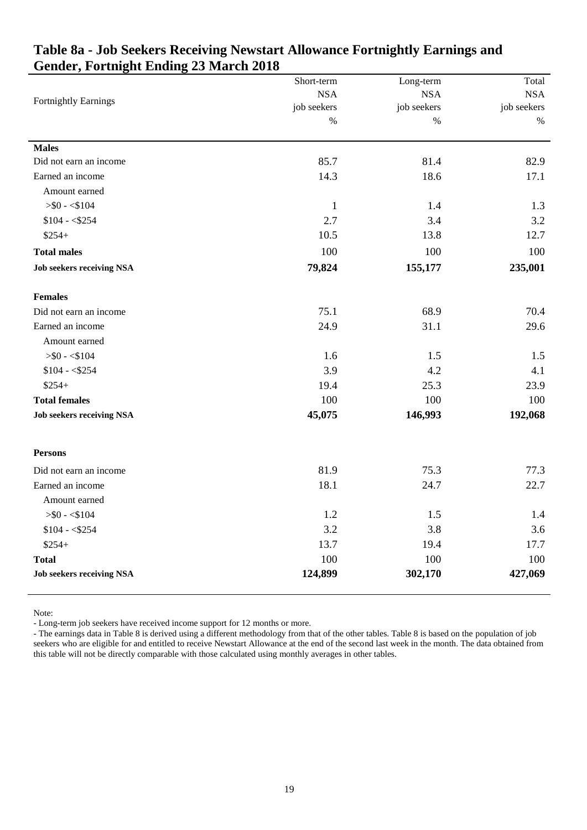|                                  | Short-term   | Long-term   | Total       |
|----------------------------------|--------------|-------------|-------------|
| <b>Fortnightly Earnings</b>      | <b>NSA</b>   | <b>NSA</b>  | <b>NSA</b>  |
|                                  | job seekers  | job seekers | job seekers |
|                                  | $\%$         | $\%$        | %           |
| <b>Males</b>                     |              |             |             |
| Did not earn an income           | 85.7         | 81.4        | 82.9        |
| Earned an income                 | 14.3         | 18.6        | 17.1        |
| Amount earned                    |              |             |             |
| $>$ \$0 - <\$104                 | $\mathbf{1}$ | 1.4         | 1.3         |
| $$104 - $254$                    | 2.7          | 3.4         | 3.2         |
| $$254+$                          | 10.5         | 13.8        | 12.7        |
| <b>Total males</b>               | 100          | 100         | 100         |
| <b>Job seekers receiving NSA</b> | 79,824       | 155,177     | 235,001     |
| <b>Females</b>                   |              |             |             |
| Did not earn an income           | 75.1         | 68.9        | 70.4        |
| Earned an income                 | 24.9         | 31.1        | 29.6        |
| Amount earned                    |              |             |             |
| $>$ \$0 - <\$104                 | 1.6          | 1.5         | 1.5         |
| $$104 - $254$                    | 3.9          | 4.2         | 4.1         |
| $$254+$                          | 19.4         | 25.3        | 23.9        |
| <b>Total females</b>             | 100          | 100         | 100         |
| <b>Job seekers receiving NSA</b> | 45,075       | 146,993     | 192,068     |
| <b>Persons</b>                   |              |             |             |
| Did not earn an income           | 81.9         | 75.3        | 77.3        |
| Earned an income                 | 18.1         | 24.7        | 22.7        |
| Amount earned                    |              |             |             |
| $>$ \$0 - <\$104                 | 1.2          | 1.5         | 1.4         |
| $$104 - $254$                    | 3.2          | 3.8         | 3.6         |
| $$254+$                          | 13.7         | 19.4        | 17.7        |
| <b>Total</b>                     | 100          | 100         | 100         |
| <b>Job seekers receiving NSA</b> | 124,899      | 302,170     | 427,069     |

## <span id="page-19-0"></span>**Table 8a - Job Seekers Receiving Newstart Allowance Fortnightly Earnings and Gender, Fortnight Ending 23 March 2018**

Note:

- Long-term job seekers have received income support for 12 months or more.

- The earnings data in Table 8 is derived using a different methodology from that of the other tables. Table 8 is based on the population of job seekers who are eligible for and entitled to receive Newstart Allowance at the end of the second last week in the month. The data obtained from this table will not be directly comparable with those calculated using monthly averages in other tables.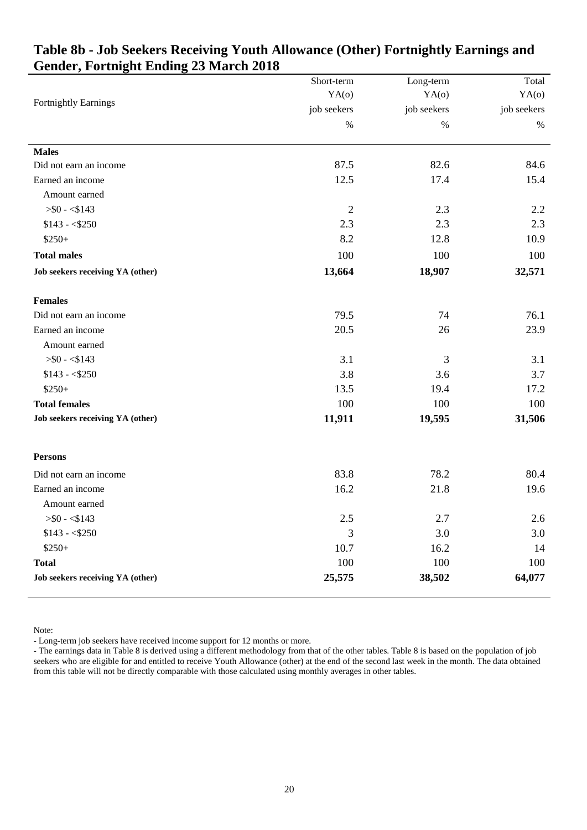|                                  | Short-term     | Long-term   | Total       |
|----------------------------------|----------------|-------------|-------------|
|                                  | YA(0)          | YA(0)       | YA(o)       |
| <b>Fortnightly Earnings</b>      | job seekers    | job seekers | job seekers |
|                                  | $\%$           | $\%$        | $\%$        |
| <b>Males</b>                     |                |             |             |
| Did not earn an income           | 87.5           | 82.6        | 84.6        |
| Earned an income                 | 12.5           | 17.4        | 15.4        |
| Amount earned                    |                |             |             |
| $>$ \$0 - <\$143                 | $\mathfrak{2}$ | 2.3         | 2.2         |
| $$143 - $250$                    | 2.3            | 2.3         | 2.3         |
| $$250+$                          | 8.2            | 12.8        | 10.9        |
| <b>Total males</b>               | 100            | 100         | 100         |
| Job seekers receiving YA (other) | 13,664         | 18,907      | 32,571      |
| <b>Females</b>                   |                |             |             |
| Did not earn an income           | 79.5           | 74          | 76.1        |
| Earned an income                 | 20.5           | 26          | 23.9        |
| Amount earned                    |                |             |             |
| $>$ \$0 - <\$143                 | 3.1            | 3           | 3.1         |
| $$143 - $250$                    | 3.8            | 3.6         | 3.7         |
| $$250+$                          | 13.5           | 19.4        | 17.2        |
| <b>Total females</b>             | 100            | 100         | 100         |
| Job seekers receiving YA (other) | 11,911         | 19,595      | 31,506      |
| <b>Persons</b>                   |                |             |             |
| Did not earn an income           | 83.8           | 78.2        | 80.4        |
| Earned an income                 | 16.2           | 21.8        | 19.6        |
| Amount earned                    |                |             |             |
| $> 0 - 143$                      | $2.5\,$        | 2.7         | $2.6\,$     |
| $$143 - $250$                    | 3              | 3.0         | 3.0         |
| $$250+$                          | 10.7           | 16.2        | 14          |
| <b>Total</b>                     | 100            | 100         | 100         |
| Job seekers receiving YA (other) | 25,575         | 38,502      | 64,077      |

# <span id="page-20-0"></span>**Table 8b - Job Seekers Receiving Youth Allowance (Other) Fortnightly Earnings and Gender, Fortnight Ending 23 March 2018**

Note:

- Long-term job seekers have received income support for 12 months or more.

- The earnings data in Table 8 is derived using a different methodology from that of the other tables. Table 8 is based on the population of job seekers who are eligible for and entitled to receive Youth Allowance (other) at the end of the second last week in the month. The data obtained from this table will not be directly comparable with those calculated using monthly averages in other tables.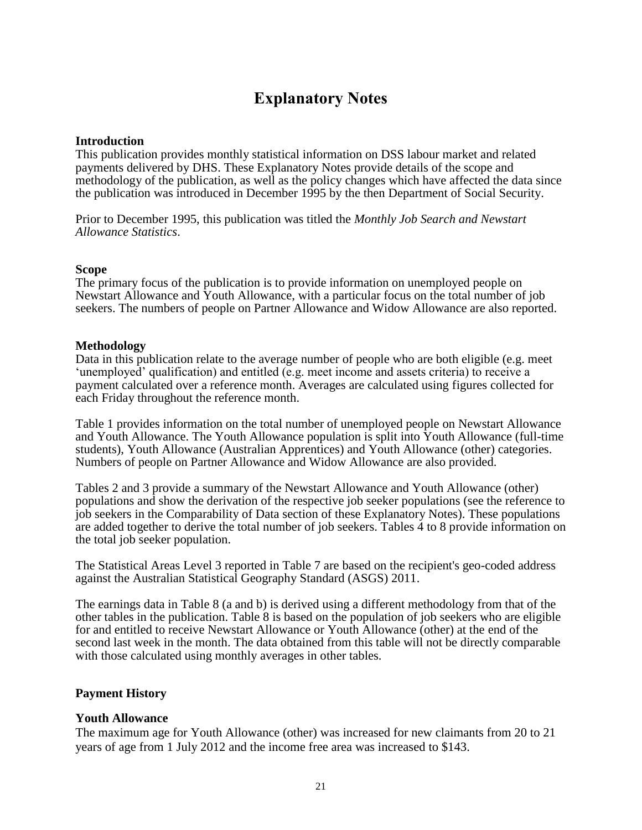# **Explanatory Notes**

#### <span id="page-21-0"></span>**Introduction**

This publication provides monthly statistical information on DSS labour market and related payments delivered by DHS. These Explanatory Notes provide details of the scope and methodology of the publication, as well as the policy changes which have affected the data since the publication was introduced in December 1995 by the then Department of Social Security.

Prior to December 1995, this publication was titled the *Monthly Job Search and Newstart Allowance Statistics*.

#### **Scope**

The primary focus of the publication is to provide information on unemployed people on Newstart Allowance and Youth Allowance, with a particular focus on the total number of job seekers. The numbers of people on Partner Allowance and Widow Allowance are also reported.

#### **Methodology**

Data in this publication relate to the average number of people who are both eligible (e.g. meet 'unemployed' qualification) and entitled (e.g. meet income and assets criteria) to receive a payment calculated over a reference month. Averages are calculated using figures collected for each Friday throughout the reference month.

Table 1 provides information on the total number of unemployed people on Newstart Allowance and Youth Allowance. The Youth Allowance population is split into Youth Allowance (full-time students), Youth Allowance (Australian Apprentices) and Youth Allowance (other) categories. Numbers of people on Partner Allowance and Widow Allowance are also provided.

Tables 2 and 3 provide a summary of the Newstart Allowance and Youth Allowance (other) populations and show the derivation of the respective job seeker populations (see the reference to job seekers in the Comparability of Data section of these Explanatory Notes). These populations are added together to derive the total number of job seekers. Tables 4 to 8 provide information on the total job seeker population.

The Statistical Areas Level 3 reported in Table 7 are based on the recipient's geo-coded address against the Australian Statistical Geography Standard (ASGS) 2011.

The earnings data in Table 8 (a and b) is derived using a different methodology from that of the other tables in the publication. Table 8 is based on the population of job seekers who are eligible for and entitled to receive Newstart Allowance or Youth Allowance (other) at the end of the second last week in the month. The data obtained from this table will not be directly comparable with those calculated using monthly averages in other tables.

#### **Payment History**

#### **Youth Allowance**

The maximum age for Youth Allowance (other) was increased for new claimants from 20 to 21 years of age from 1 July 2012 and the income free area was increased to \$143.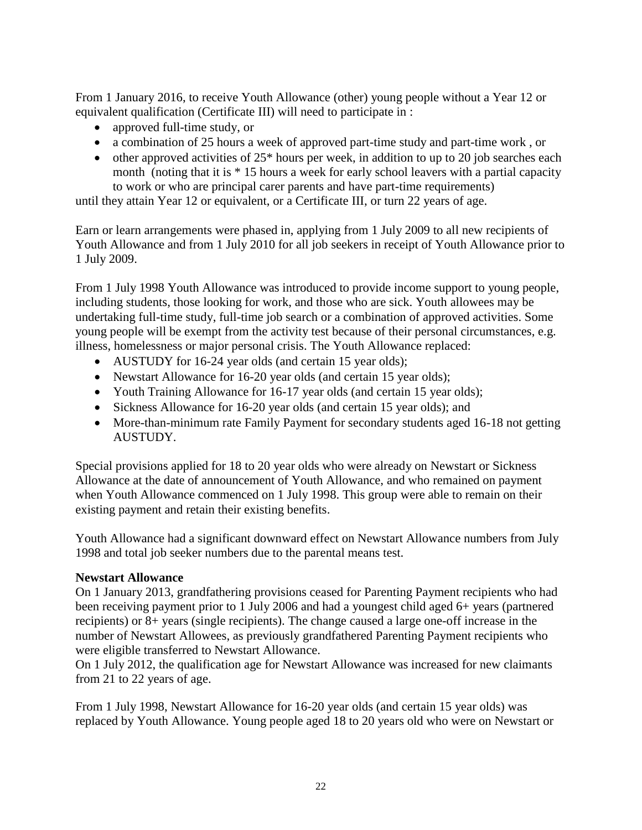From 1 January 2016, to receive Youth Allowance (other) young people without a Year 12 or equivalent qualification (Certificate III) will need to participate in :

- approved full-time study, or
- a combination of 25 hours a week of approved part-time study and part-time work, or
- $\bullet$  other approved activities of 25<sup>\*</sup> hours per week, in addition to up to 20 job searches each month (noting that it is \* 15 hours a week for early school leavers with a partial capacity to work or who are principal carer parents and have part-time requirements)

until they attain Year 12 or equivalent, or a Certificate III, or turn 22 years of age.

Earn or learn arrangements were phased in, applying from 1 July 2009 to all new recipients of Youth Allowance and from 1 July 2010 for all job seekers in receipt of Youth Allowance prior to 1 July 2009.

From 1 July 1998 Youth Allowance was introduced to provide income support to young people, including students, those looking for work, and those who are sick. Youth allowees may be undertaking full-time study, full-time job search or a combination of approved activities. Some young people will be exempt from the activity test because of their personal circumstances, e.g. illness, homelessness or major personal crisis. The Youth Allowance replaced:

- AUSTUDY for 16-24 year olds (and certain 15 year olds);
- Newstart Allowance for 16-20 year olds (and certain 15 year olds);
- Youth Training Allowance for 16-17 year olds (and certain 15 year olds);
- Sickness Allowance for 16-20 year olds (and certain 15 year olds); and
- More-than-minimum rate Family Payment for secondary students aged 16-18 not getting AUSTUDY.

Special provisions applied for 18 to 20 year olds who were already on Newstart or Sickness Allowance at the date of announcement of Youth Allowance, and who remained on payment when Youth Allowance commenced on 1 July 1998. This group were able to remain on their existing payment and retain their existing benefits.

Youth Allowance had a significant downward effect on Newstart Allowance numbers from July 1998 and total job seeker numbers due to the parental means test.

#### **Newstart Allowance**

On 1 January 2013, grandfathering provisions ceased for Parenting Payment recipients who had been receiving payment prior to 1 July 2006 and had a youngest child aged 6+ years (partnered recipients) or 8+ years (single recipients). The change caused a large one-off increase in the number of Newstart Allowees, as previously grandfathered Parenting Payment recipients who were eligible transferred to Newstart Allowance.

On 1 July 2012, the qualification age for Newstart Allowance was increased for new claimants from 21 to 22 years of age.

From 1 July 1998, Newstart Allowance for 16-20 year olds (and certain 15 year olds) was replaced by Youth Allowance. Young people aged 18 to 20 years old who were on Newstart or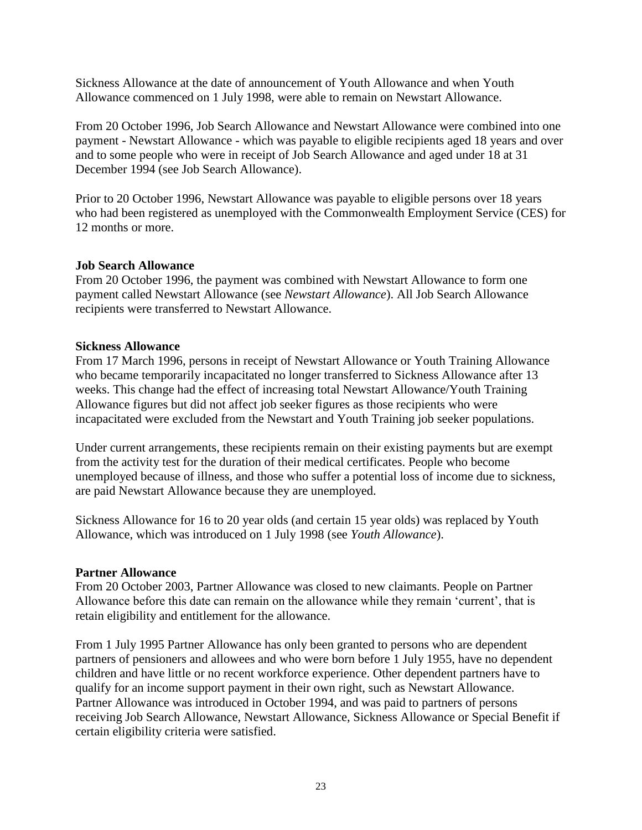Sickness Allowance at the date of announcement of Youth Allowance and when Youth Allowance commenced on 1 July 1998, were able to remain on Newstart Allowance.

From 20 October 1996, Job Search Allowance and Newstart Allowance were combined into one payment - Newstart Allowance - which was payable to eligible recipients aged 18 years and over and to some people who were in receipt of Job Search Allowance and aged under 18 at 31 December 1994 (see Job Search Allowance).

Prior to 20 October 1996, Newstart Allowance was payable to eligible persons over 18 years who had been registered as unemployed with the Commonwealth Employment Service (CES) for 12 months or more.

#### **Job Search Allowance**

From 20 October 1996, the payment was combined with Newstart Allowance to form one payment called Newstart Allowance (see *Newstart Allowance*). All Job Search Allowance recipients were transferred to Newstart Allowance.

#### **Sickness Allowance**

From 17 March 1996, persons in receipt of Newstart Allowance or Youth Training Allowance who became temporarily incapacitated no longer transferred to Sickness Allowance after 13 weeks. This change had the effect of increasing total Newstart Allowance/Youth Training Allowance figures but did not affect job seeker figures as those recipients who were incapacitated were excluded from the Newstart and Youth Training job seeker populations.

Under current arrangements, these recipients remain on their existing payments but are exempt from the activity test for the duration of their medical certificates. People who become unemployed because of illness, and those who suffer a potential loss of income due to sickness, are paid Newstart Allowance because they are unemployed.

Sickness Allowance for 16 to 20 year olds (and certain 15 year olds) was replaced by Youth Allowance, which was introduced on 1 July 1998 (see *Youth Allowance*).

#### **Partner Allowance**

From 20 October 2003, Partner Allowance was closed to new claimants. People on Partner Allowance before this date can remain on the allowance while they remain 'current', that is retain eligibility and entitlement for the allowance.

From 1 July 1995 Partner Allowance has only been granted to persons who are dependent partners of pensioners and allowees and who were born before 1 July 1955, have no dependent children and have little or no recent workforce experience. Other dependent partners have to qualify for an income support payment in their own right, such as Newstart Allowance. Partner Allowance was introduced in October 1994, and was paid to partners of persons receiving Job Search Allowance, Newstart Allowance, Sickness Allowance or Special Benefit if certain eligibility criteria were satisfied.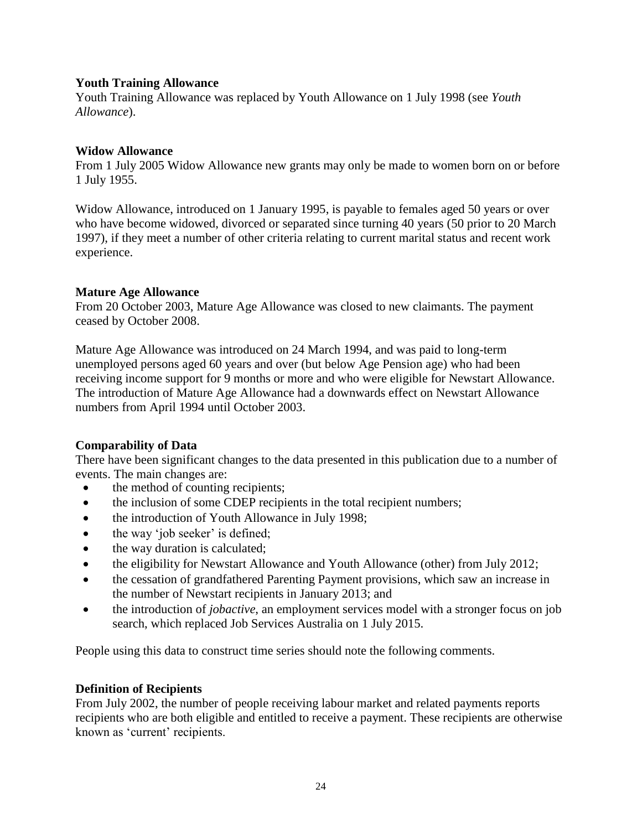#### **Youth Training Allowance**

Youth Training Allowance was replaced by Youth Allowance on 1 July 1998 (see *Youth Allowance*).

#### **Widow Allowance**

From 1 July 2005 Widow Allowance new grants may only be made to women born on or before 1 July 1955.

Widow Allowance, introduced on 1 January 1995, is payable to females aged 50 years or over who have become widowed, divorced or separated since turning 40 years (50 prior to 20 March 1997), if they meet a number of other criteria relating to current marital status and recent work experience.

#### **Mature Age Allowance**

From 20 October 2003, Mature Age Allowance was closed to new claimants. The payment ceased by October 2008.

Mature Age Allowance was introduced on 24 March 1994, and was paid to long-term unemployed persons aged 60 years and over (but below Age Pension age) who had been receiving income support for 9 months or more and who were eligible for Newstart Allowance. The introduction of Mature Age Allowance had a downwards effect on Newstart Allowance numbers from April 1994 until October 2003.

#### **Comparability of Data**

There have been significant changes to the data presented in this publication due to a number of events. The main changes are:

- the method of counting recipients;
- the inclusion of some CDEP recipients in the total recipient numbers;
- the introduction of Youth Allowance in July 1998;
- the way 'job seeker' is defined;
- the way duration is calculated;
- the eligibility for Newstart Allowance and Youth Allowance (other) from July 2012;
- the cessation of grandfathered Parenting Payment provisions, which saw an increase in the number of Newstart recipients in January 2013; and
- the introduction of *jobactive*, an employment services model with a stronger focus on job search, which replaced Job Services Australia on 1 July 2015.

People using this data to construct time series should note the following comments.

#### **Definition of Recipients**

From July 2002, the number of people receiving labour market and related payments reports recipients who are both eligible and entitled to receive a payment. These recipients are otherwise known as 'current' recipients.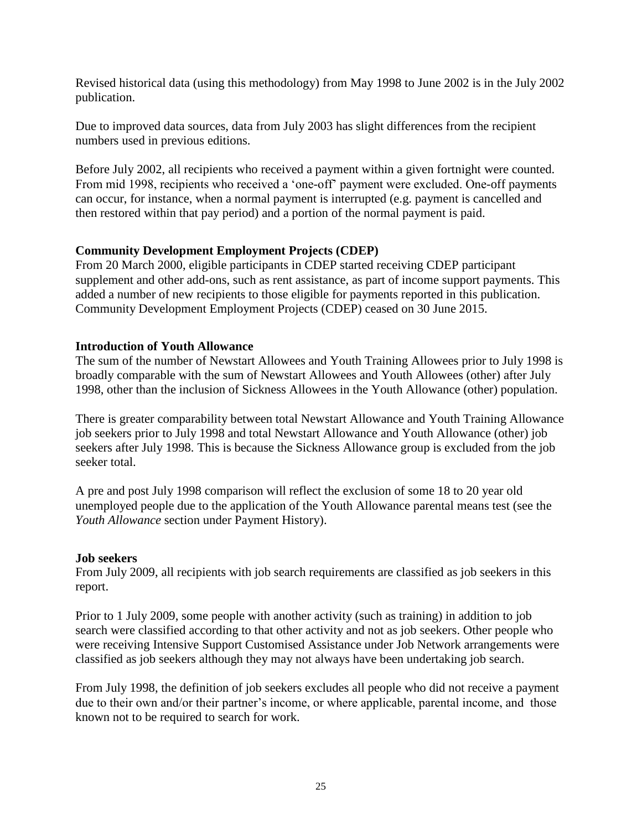Revised historical data (using this methodology) from May 1998 to June 2002 is in the July 2002 publication.

Due to improved data sources, data from July 2003 has slight differences from the recipient numbers used in previous editions.

Before July 2002, all recipients who received a payment within a given fortnight were counted. From mid 1998, recipients who received a 'one-off' payment were excluded. One-off payments can occur, for instance, when a normal payment is interrupted (e.g. payment is cancelled and then restored within that pay period) and a portion of the normal payment is paid.

#### **Community Development Employment Projects (CDEP)**

From 20 March 2000, eligible participants in CDEP started receiving CDEP participant supplement and other add-ons, such as rent assistance, as part of income support payments. This added a number of new recipients to those eligible for payments reported in this publication. Community Development Employment Projects (CDEP) ceased on 30 June 2015.

#### **Introduction of Youth Allowance**

The sum of the number of Newstart Allowees and Youth Training Allowees prior to July 1998 is broadly comparable with the sum of Newstart Allowees and Youth Allowees (other) after July 1998, other than the inclusion of Sickness Allowees in the Youth Allowance (other) population.

There is greater comparability between total Newstart Allowance and Youth Training Allowance job seekers prior to July 1998 and total Newstart Allowance and Youth Allowance (other) job seekers after July 1998. This is because the Sickness Allowance group is excluded from the job seeker total.

A pre and post July 1998 comparison will reflect the exclusion of some 18 to 20 year old unemployed people due to the application of the Youth Allowance parental means test (see the *Youth Allowance* section under Payment History).

#### **Job seekers**

From July 2009, all recipients with job search requirements are classified as job seekers in this report.

Prior to 1 July 2009, some people with another activity (such as training) in addition to job search were classified according to that other activity and not as job seekers. Other people who were receiving Intensive Support Customised Assistance under Job Network arrangements were classified as job seekers although they may not always have been undertaking job search.

From July 1998, the definition of job seekers excludes all people who did not receive a payment due to their own and/or their partner's income, or where applicable, parental income, and those known not to be required to search for work.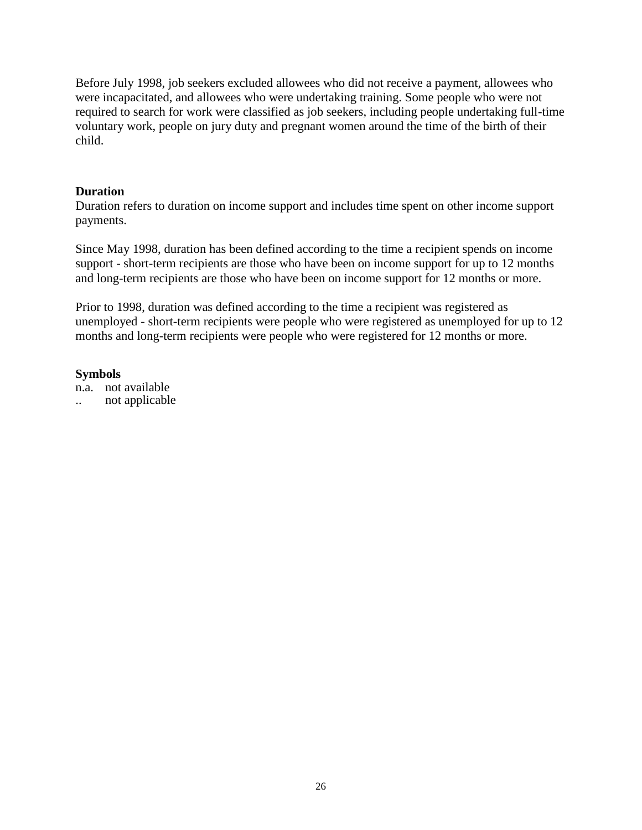Before July 1998, job seekers excluded allowees who did not receive a payment, allowees who were incapacitated, and allowees who were undertaking training. Some people who were not required to search for work were classified as job seekers, including people undertaking full-time voluntary work, people on jury duty and pregnant women around the time of the birth of their child.

#### **Duration**

Duration refers to duration on income support and includes time spent on other income support payments.

Since May 1998, duration has been defined according to the time a recipient spends on income support - short-term recipients are those who have been on income support for up to 12 months and long-term recipients are those who have been on income support for 12 months or more.

Prior to 1998, duration was defined according to the time a recipient was registered as unemployed - short-term recipients were people who were registered as unemployed for up to 12 months and long-term recipients were people who were registered for 12 months or more.

#### **Symbols**

n.a. not available

.. not applicable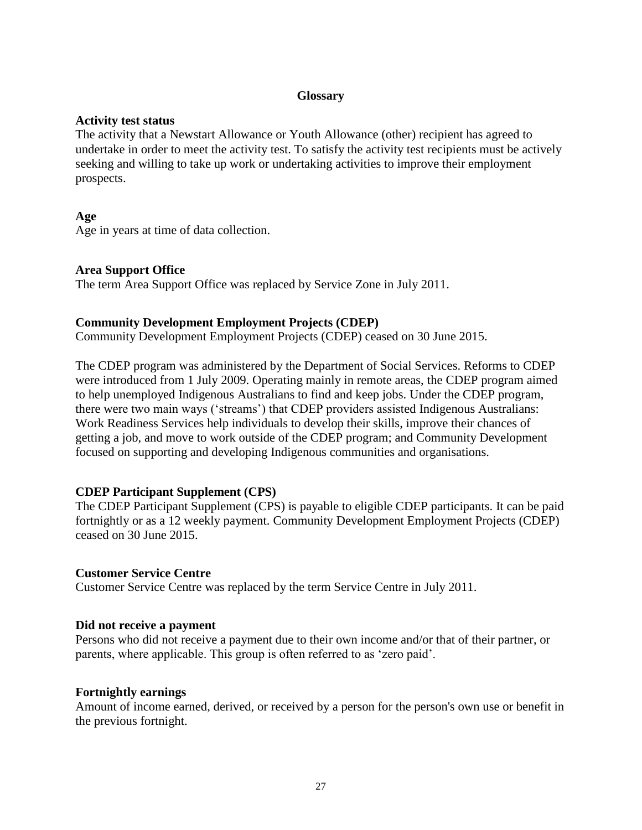#### **Glossary**

#### **Activity test status**

<span id="page-27-0"></span>The activity that a Newstart Allowance or Youth Allowance (other) recipient has agreed to undertake in order to meet the activity test. To satisfy the activity test recipients must be actively seeking and willing to take up work or undertaking activities to improve their employment prospects.

#### **Age**

Age in years at time of data collection.

#### **Area Support Office**

The term Area Support Office was replaced by Service Zone in July 2011.

#### **Community Development Employment Projects (CDEP)**

Community Development Employment Projects (CDEP) ceased on 30 June 2015.

The CDEP program was administered by the Department of Social Services. Reforms to CDEP were introduced from 1 July 2009. Operating mainly in remote areas, the CDEP program aimed to help unemployed Indigenous Australians to find and keep jobs. Under the CDEP program, there were two main ways ('streams') that CDEP providers assisted Indigenous Australians: Work Readiness Services help individuals to develop their skills, improve their chances of getting a job, and move to work outside of the CDEP program; and Community Development focused on supporting and developing Indigenous communities and organisations.

#### **CDEP Participant Supplement (CPS)**

The CDEP Participant Supplement (CPS) is payable to eligible CDEP participants. It can be paid fortnightly or as a 12 weekly payment. Community Development Employment Projects (CDEP) ceased on 30 June 2015.

#### **Customer Service Centre**

Customer Service Centre was replaced by the term Service Centre in July 2011.

#### **Did not receive a payment**

Persons who did not receive a payment due to their own income and/or that of their partner, or parents, where applicable. This group is often referred to as 'zero paid'.

#### **Fortnightly earnings**

Amount of income earned, derived, or received by a person for the person's own use or benefit in the previous fortnight.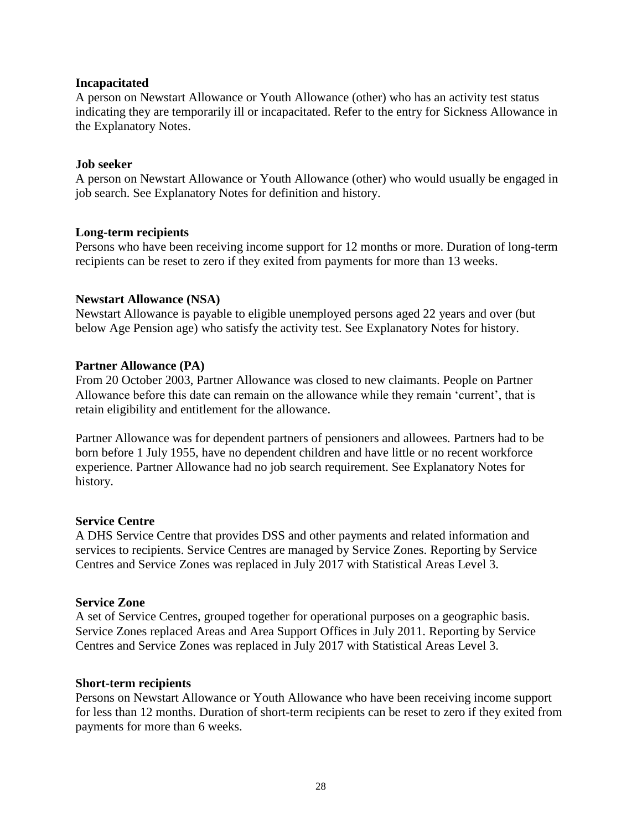#### **Incapacitated**

A person on Newstart Allowance or Youth Allowance (other) who has an activity test status indicating they are temporarily ill or incapacitated. Refer to the entry for Sickness Allowance in the Explanatory Notes.

#### **Job seeker**

A person on Newstart Allowance or Youth Allowance (other) who would usually be engaged in job search. See Explanatory Notes for definition and history.

#### **Long-term recipients**

Persons who have been receiving income support for 12 months or more. Duration of long-term recipients can be reset to zero if they exited from payments for more than 13 weeks.

#### **Newstart Allowance (NSA)**

Newstart Allowance is payable to eligible unemployed persons aged 22 years and over (but below Age Pension age) who satisfy the activity test. See Explanatory Notes for history.

#### **Partner Allowance (PA)**

From 20 October 2003, Partner Allowance was closed to new claimants. People on Partner Allowance before this date can remain on the allowance while they remain 'current', that is retain eligibility and entitlement for the allowance.

Partner Allowance was for dependent partners of pensioners and allowees. Partners had to be born before 1 July 1955, have no dependent children and have little or no recent workforce experience. Partner Allowance had no job search requirement. See Explanatory Notes for history.

#### **Service Centre**

A DHS Service Centre that provides DSS and other payments and related information and services to recipients. Service Centres are managed by Service Zones. Reporting by Service Centres and Service Zones was replaced in July 2017 with Statistical Areas Level 3.

#### **Service Zone**

A set of Service Centres, grouped together for operational purposes on a geographic basis. Service Zones replaced Areas and Area Support Offices in July 2011. Reporting by Service Centres and Service Zones was replaced in July 2017 with Statistical Areas Level 3.

#### **Short-term recipients**

Persons on Newstart Allowance or Youth Allowance who have been receiving income support for less than 12 months. Duration of short-term recipients can be reset to zero if they exited from payments for more than 6 weeks.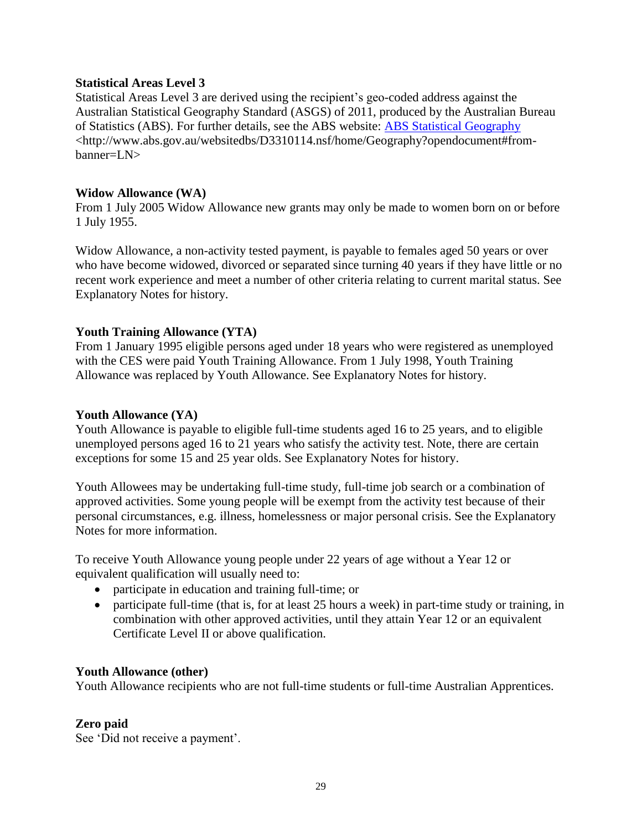#### **Statistical Areas Level 3**

Statistical Areas Level 3 are derived using the recipient's geo-coded address against the Australian Statistical Geography Standard (ASGS) of 2011, produced by the Australian Bureau of Statistics (ABS). For further details, see the ABS website: [ABS Statistical Geography](http://www.abs.gov.au/websitedbs/D3310114.nsf/home/Geography?opendocument#from-banner=LN) <http://www.abs.gov.au/websitedbs/D3310114.nsf/home/Geography?opendocument#frombanner=LN>

#### **Widow Allowance (WA)**

From 1 July 2005 Widow Allowance new grants may only be made to women born on or before 1 July 1955.

Widow Allowance, a non-activity tested payment, is payable to females aged 50 years or over who have become widowed, divorced or separated since turning 40 years if they have little or no recent work experience and meet a number of other criteria relating to current marital status. See Explanatory Notes for history.

#### **Youth Training Allowance (YTA)**

From 1 January 1995 eligible persons aged under 18 years who were registered as unemployed with the CES were paid Youth Training Allowance. From 1 July 1998, Youth Training Allowance was replaced by Youth Allowance. See Explanatory Notes for history.

#### **Youth Allowance (YA)**

Youth Allowance is payable to eligible full-time students aged 16 to 25 years, and to eligible unemployed persons aged 16 to 21 years who satisfy the activity test. Note, there are certain exceptions for some 15 and 25 year olds. See Explanatory Notes for history.

Youth Allowees may be undertaking full-time study, full-time job search or a combination of approved activities. Some young people will be exempt from the activity test because of their personal circumstances, e.g. illness, homelessness or major personal crisis. See the Explanatory Notes for more information.

To receive Youth Allowance young people under 22 years of age without a Year 12 or equivalent qualification will usually need to:

- participate in education and training full-time; or
- participate full-time (that is, for at least 25 hours a week) in part-time study or training, in combination with other approved activities, until they attain Year 12 or an equivalent Certificate Level II or above qualification.

#### **Youth Allowance (other)**

Youth Allowance recipients who are not full-time students or full-time Australian Apprentices.

#### **Zero paid**

See 'Did not receive a payment'.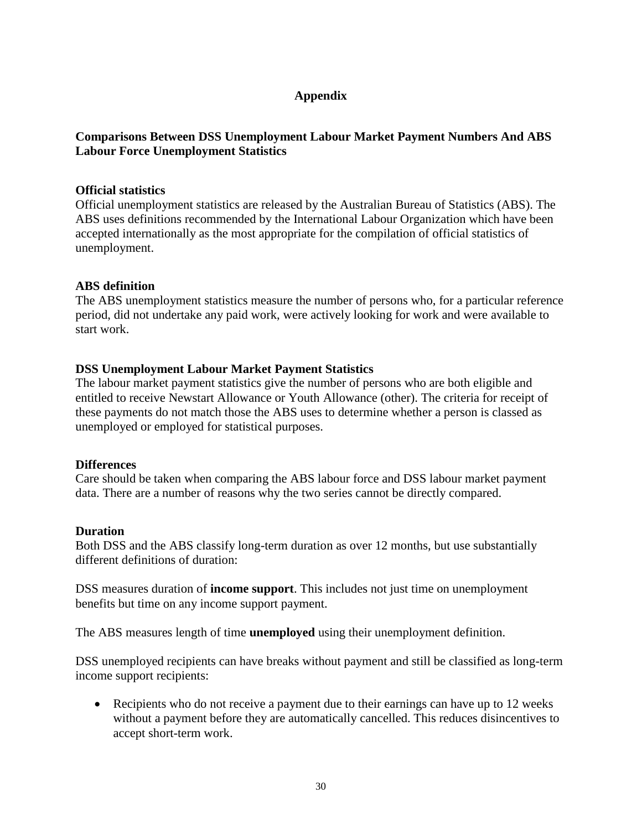#### **Appendix**

#### <span id="page-30-0"></span>**Comparisons Between DSS Unemployment Labour Market Payment Numbers And ABS Labour Force Unemployment Statistics**

#### <span id="page-30-1"></span>**Official statistics**

Official unemployment statistics are released by the Australian Bureau of Statistics (ABS). The ABS uses definitions recommended by the International Labour Organization which have been accepted internationally as the most appropriate for the compilation of official statistics of unemployment.

#### **ABS definition**

The ABS unemployment statistics measure the number of persons who, for a particular reference period, did not undertake any paid work, were actively looking for work and were available to start work.

#### **DSS Unemployment Labour Market Payment Statistics**

The labour market payment statistics give the number of persons who are both eligible and entitled to receive Newstart Allowance or Youth Allowance (other). The criteria for receipt of these payments do not match those the ABS uses to determine whether a person is classed as unemployed or employed for statistical purposes.

#### **Differences**

Care should be taken when comparing the ABS labour force and DSS labour market payment data. There are a number of reasons why the two series cannot be directly compared.

#### **Duration**

Both DSS and the ABS classify long-term duration as over 12 months, but use substantially different definitions of duration:

DSS measures duration of **income support**. This includes not just time on unemployment benefits but time on any income support payment.

The ABS measures length of time **unemployed** using their unemployment definition.

DSS unemployed recipients can have breaks without payment and still be classified as long-term income support recipients:

• Recipients who do not receive a payment due to their earnings can have up to 12 weeks without a payment before they are automatically cancelled. This reduces disincentives to accept short-term work.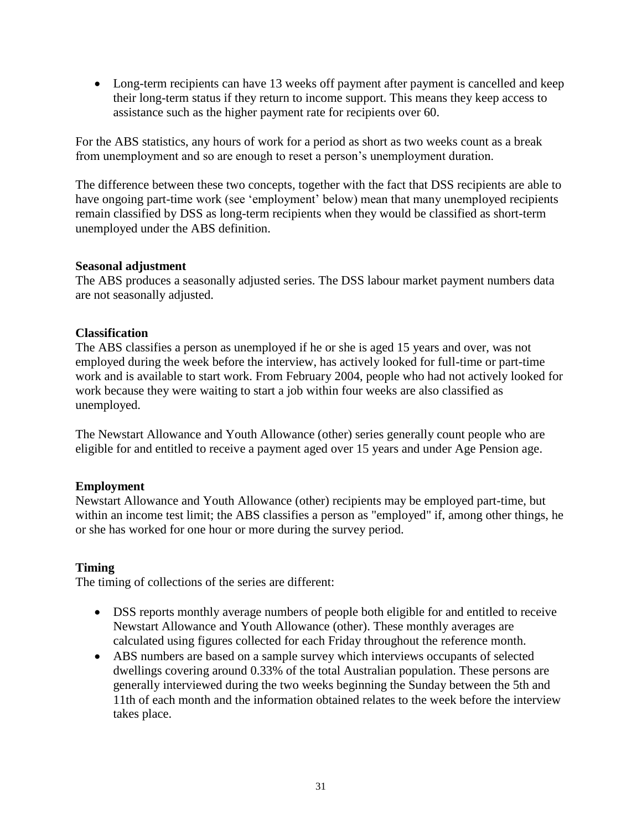• Long-term recipients can have 13 weeks off payment after payment is cancelled and keep their long-term status if they return to income support. This means they keep access to assistance such as the higher payment rate for recipients over 60.

For the ABS statistics, any hours of work for a period as short as two weeks count as a break from unemployment and so are enough to reset a person's unemployment duration.

The difference between these two concepts, together with the fact that DSS recipients are able to have ongoing part-time work (see 'employment' below) mean that many unemployed recipients remain classified by DSS as long-term recipients when they would be classified as short-term unemployed under the ABS definition.

#### **Seasonal adjustment**

The ABS produces a seasonally adjusted series. The DSS labour market payment numbers data are not seasonally adjusted.

#### **Classification**

The ABS classifies a person as unemployed if he or she is aged 15 years and over, was not employed during the week before the interview, has actively looked for full-time or part-time work and is available to start work. From February 2004, people who had not actively looked for work because they were waiting to start a job within four weeks are also classified as unemployed.

The Newstart Allowance and Youth Allowance (other) series generally count people who are eligible for and entitled to receive a payment aged over 15 years and under Age Pension age.

#### **Employment**

Newstart Allowance and Youth Allowance (other) recipients may be employed part-time, but within an income test limit; the ABS classifies a person as "employed" if, among other things, he or she has worked for one hour or more during the survey period.

#### **Timing**

The timing of collections of the series are different:

- DSS reports monthly average numbers of people both eligible for and entitled to receive Newstart Allowance and Youth Allowance (other). These monthly averages are calculated using figures collected for each Friday throughout the reference month.
- ABS numbers are based on a sample survey which interviews occupants of selected dwellings covering around 0.33% of the total Australian population. These persons are generally interviewed during the two weeks beginning the Sunday between the 5th and 11th of each month and the information obtained relates to the week before the interview takes place.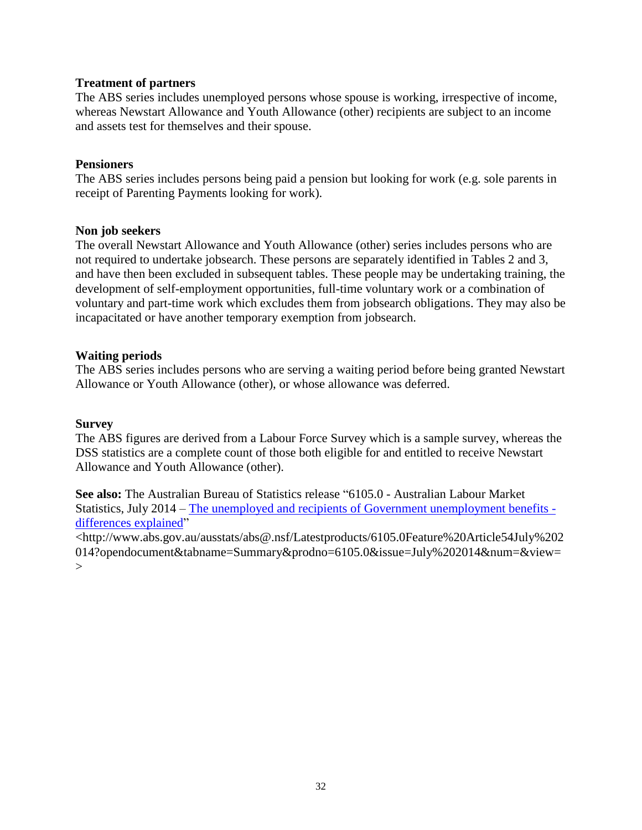#### **Treatment of partners**

The ABS series includes unemployed persons whose spouse is working, irrespective of income, whereas Newstart Allowance and Youth Allowance (other) recipients are subject to an income and assets test for themselves and their spouse.

#### **Pensioners**

The ABS series includes persons being paid a pension but looking for work (e.g. sole parents in receipt of Parenting Payments looking for work).

#### **Non job seekers**

The overall Newstart Allowance and Youth Allowance (other) series includes persons who are not required to undertake jobsearch. These persons are separately identified in Tables 2 and 3, and have then been excluded in subsequent tables. These people may be undertaking training, the development of self-employment opportunities, full-time voluntary work or a combination of voluntary and part-time work which excludes them from jobsearch obligations. They may also be incapacitated or have another temporary exemption from jobsearch.

#### **Waiting periods**

The ABS series includes persons who are serving a waiting period before being granted Newstart Allowance or Youth Allowance (other), or whose allowance was deferred.

#### **Survey**

The ABS figures are derived from a Labour Force Survey which is a sample survey, whereas the DSS statistics are a complete count of those both eligible for and entitled to receive Newstart Allowance and Youth Allowance (other).

**See also:** The Australian Bureau of Statistics release "6105.0 - Australian Labour Market Statistics, July 2014 – The unemployed and [recipients of Government unemployment benefits](http://www.abs.gov.au/ausstats/abs@.nsf/Latestproducts/6105.0Feature%20Article54July%202014?opendocument&tabname=Summary&prodno=6105.0&issue=July%202014&num=&view=)  [differences explained"](http://www.abs.gov.au/ausstats/abs@.nsf/Latestproducts/6105.0Feature%20Article54July%202014?opendocument&tabname=Summary&prodno=6105.0&issue=July%202014&num=&view=)

<http://www.abs.gov.au/ausstats/abs@.nsf/Latestproducts/6105.0Feature%20Article54July%202 014?opendocument&tabname=Summary&prodno=6105.0&issue=July%202014&num=&view=  $\geq$